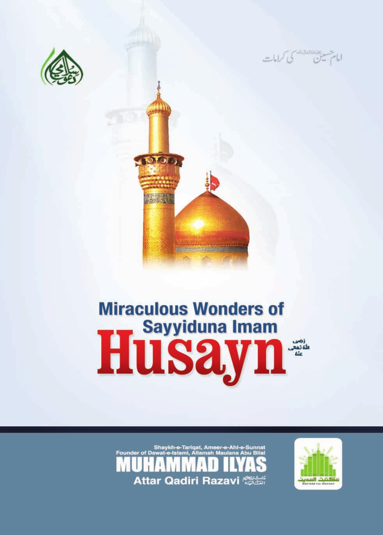





# **Miraculous Wonders of** Husay<sup>sayyiduna Imam</sup>



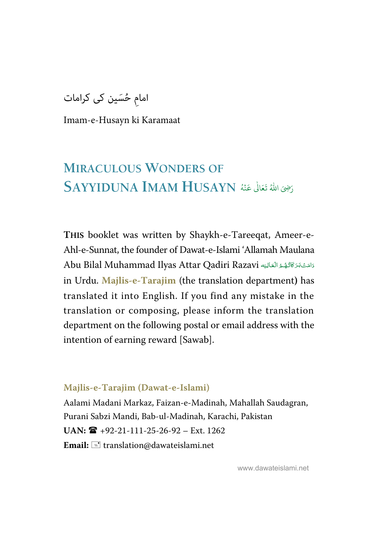امام حُسَین کی کرامات

Imam-e-Husayn ki Karamaat

#### **MIRACULOUS WONDERS OF** رَضِىَ اللّهُ تَعَالَىٰ عَنْهُ  $\bf{HUSAYN}$   $\stackrel{\text{(1)}{\sim}}{\sim}$ ٰ  $\ddot{\cdot}$ و<br>لم

**THIS** booklet was written by Shaykh-e-Tareeqat, Ameer-e-Ahl-e-Sunnat, the founder of Dawat-e-Islami 'Allamah Maulana Abu Bilal Muhammad Ilyas Attar Qadiri Razavi دَامَتْ بَرَكَاتُهُمْ الْعَالِيَه -ź í í --in Urdu. **Majlis-e-Tarajim** (the translation department**)** has translated it into English. If you find any mistake in the translation or composing, please inform the translation department on the following postal or email address with the intention of earning reward [Sawab].

#### **Majlis-e-Tarajim (Dawat-e-Islami)**

Aalami Madani Markaz, Faizan-e-Madinah, Mahallah Saudagran, Purani Sabzi Mandi, Bab-ul-Madinah, Karachi, Pakistan  $UAN: \mathbf{R}$  +92-21-111-25-26-92 – Ext. 1262 Email:  $\equiv$  translation@dawateislami.net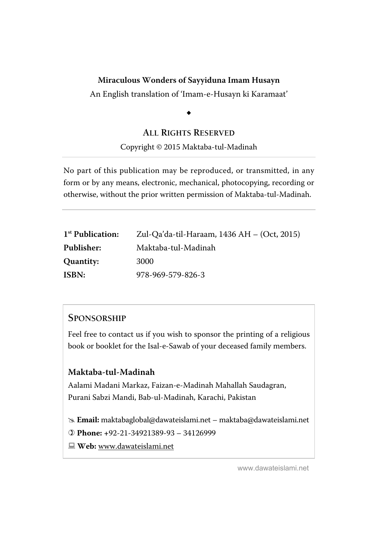#### **[Miraculous Wonders of Sayyiduna Imam Husayn](#page-48-0)**

An English translation of 'Imam-e-Husayn ki Karamaat'

# $\ddot{\phantom{0}}$

#### **ALL RIGHTS RESERVED**

#### Copyright © 2015 Maktaba-tul-Madinah

No part of this publication may be reproduced, or transmitted, in any form or by any means, electronic, mechanical, photocopying, recording or otherwise, without the prior written permission of Maktaba-tul-Madinah.

| 1 <sup>st</sup> Publication: | Zul-Qa'da-til-Haraam, 1436 AH – (Oct, 2015) |
|------------------------------|---------------------------------------------|
| Publisher:                   | Maktaba-tul-Madinah                         |
| Quantity:                    | 3000                                        |
| ISBN:                        | 978-969-579-826-3                           |

#### **SPONSORSHIP**

Feel free to contact us if you wish to sponsor the printing of a religious book or booklet for the Isal-e-Sawab of your deceased family members.

#### **Maktaba-tul-Madinah**

Aalami Madani Markaz, Faizan-e-Madinah Mahallah Saudagran, Purani Sabzi Mandi, Bab-ul-Madinah, Karachi, Pakistan

 **Email:** maktabaglobal@dawateislami.net – maktaba@dawateislami.net

 **Phone: +**92-21-34921389-93 – 34126999

 **Web:** www.dawateislami.net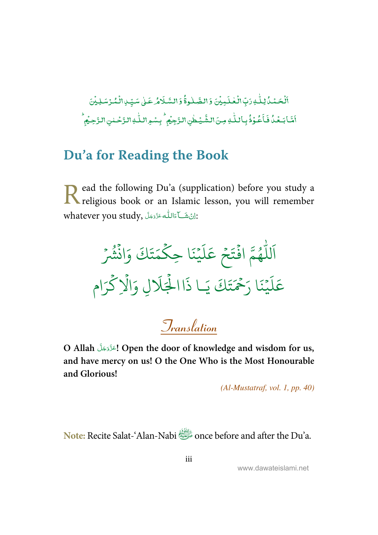<span id="page-3-0"></span>-ٱلۡحَـۡـُدُّكِنَّـٰهِ رَبِّ الۡـَٰڂلَـٰـِيۡنَ وَ الضَّـٰلُـوةُۚ وَ السَّـَلَامُٰـ عَـٰلِ سَـبِّـٰ ِالۡـُمۡـُرۡسَـٰلِـيۡنَ ֘  $\overline{a}$ ٰ ; ់ ٰ i --ٰ -់ ֦ ۡ أَشَا بَعْدُ فَأَعُوْذُ بِأَللّٰهِ مِنَ الشَّيْطُنِ الزَّجِيْمِ ۖ بِسْمِ اللّٰهِ الزَّحْلنِ الزَّحِيْمِ -ۡ -֧֦֘ -ٰ ٰ ۡ ٰ ۡ l<br>E

# **Du'a for Reading the Book**

ead the following Du'a (supplication) before you study a Read the following Du'a (supplication) before you study a religious book or an Islamic lesson, you will remember whatever you study, إِنْ شَــآءَاللّٰه عَزَّدَجَلَ $\colon$ --Í --

ر<br>آ لل ر<br>آ اَللّٰهُمَّ افۡتَحۡ و<br>ھ  $\ddot{\cdot}$ ֧<sup>֦</sup>  $\frac{1}{2}$ تَحْ ر<br>آ  $\mu$  $\frac{1}{2}$ عَلَيْنَا حِ نَا حِكْمَتَ  $\frac{1}{2}$  $\ddot{\phantom{0}}$ ت  $\frac{1}{2}$ حَتَكَ وَانْشُرُ  $\ddot{\cdot}$ ۡ و<br>ش ر<br>آ  $\mu$  $\frac{1}{2}$ عَلَيْنَا رَحَمَ  $\frac{1}{2}$ ِ<br>حُمَّ ح َ َا ر ن  $\frac{1}{2}$ .<br>تَكَ يَـ اي ا ذَا الْجَلَالِ وَالَّا ہ<br>ا ہ<br>1 ر<br>آ لَالِ وَالْإِكْرَام ہ<br>م

**Translation**

O Allah التَّزَدَّجَلَّ Open the door of knowledge and wisdom for us, -**and have mercy on us! O the One Who is the Most Honourable and Glorious!** 

(Al-Mustatraf, vol. 1, pp. 40)

**Note:** Recite Salat-'Alan-Nabi \$ once before and after the Du'a.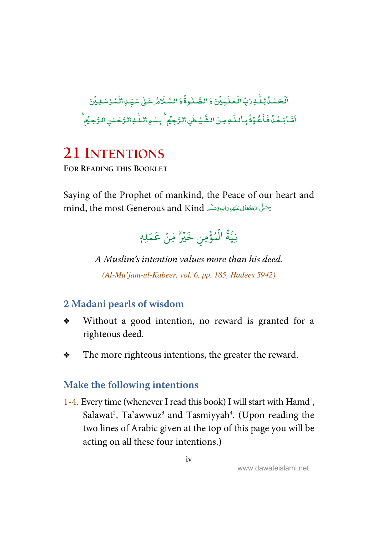<span id="page-4-0"></span>-ٱلۡحَـۡـُدُّكِنَّـٰهِ رَبِّ الۡـَٰڂلَـٰـِيۡنَ وَ الضَّـٰلُـوةُۚ وَ السَّـَلَامُٰـ عَـٰلِ سَـبِّـٰ ِالۡـُمۡـُرۡسَـٰلِـيۡنَ ֘  $\overline{a}$ ٰ ; ់ ٰ i --ٰ -់ ֦ ۡ أَشَا بَعْدُ فَأَعُوْذُ بِأَللّٰهِ مِنَ الشَّيْطُنِ الزَّجِيْمِ ۖ بِسْمِ اللّٰهِ الزَّحْلنِ الزَّحِيْمِ -ۡ -֧֦֘ -ٰ ٰ ۡ ٰ ۡ l<br>E

# **21 INTENTIONS**

**FOR READING THIS BOOKLET**

Saying of the Prophet of mankind, the Peace of our heart and mind, the most Generous and Kind أَجْمَتُوَالِهِ وَسَلَّمَ لِللهِ اللهِ بِهَ اللهِ بِهَ اللهِ وَسَلَّمَ اللهِ ĺ --ć **:** --

#### نِيَّةُ الْمُؤْمِنِ خَيْرٌ مِّنْ عَمَلِهٖ ور<br>داد ہ<br>م ُ ہ<br>آ <u>ّ</u>

A Muslim's intention values more than his deed. (Al-Mu'jam-ul-Kabeer, vol. 6, pp. 185, Hadees 5942)

# **2 Madani pearls of wisdom**

- Without a good intention, no reward is granted for a righteous deed.
- $\bullet$  The more righteous intentions, the greater the reward.

### **Make the following intentions**

1-4. Every time (whenever I read this book) I will start with Hamd<sup>1</sup>, Salawat<sup>2</sup>, Ta'awwuz<sup>3</sup> and Tasmiyyah<sup>4</sup>. (Upon reading the two lines of Arabic given at the top of this page you will be acting on all these four intentions.)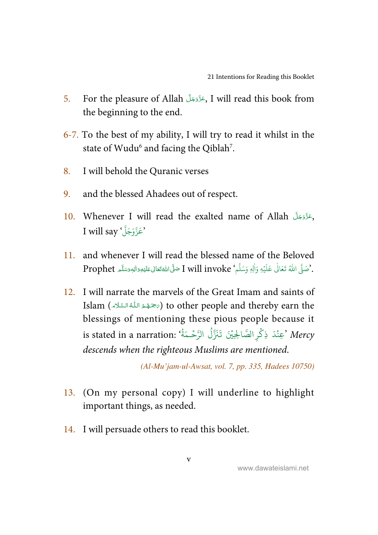- 5. For the pleasure of Allah حَزَّدَجَلَّ I will read this book from -the beginning to the end.
- 6-7. To the best of my ability, I will try to read it whilst in the state of Wudu<sup>6</sup> and facing the Qiblah<sup>7</sup>.
- 8. I will behold the Quranic verses
- 9. and the blessed Ahadees out of respect.
- 10. Whenever I will read the exalted name of Allah رَعَزَّوَجَلَّ , --I will say 'عَزَّوَجَلَّ' I
- 11. and whenever I will read the blessed name of the Beloved . مَا اللَّهُ تَعَالَى عَلَيْهِ وَاٰلِهٖ وَسَلَّم ٗ I will invoke حَمَّلَ اللَّهُ تَعَالى عَلَيْهِ وَاللهِ مَسَلَّم Prophet -Í --ć ---Ĭ. ٰ ؚ<br>ا ا
- 12. I will narrate the marvels of the Great Imam and saints of Islam (كَرْحَمَهُمْ اللَّهُ السَّلَاءِ) to other people and thereby earn the í í í ĺ blessings of mentioning these pious people because it is stated in a narration: 'عِنْدَ ذِكْرِ الصَّالِحِيْنَ تَنَزَّلُ الرَّحْـمَةُ'' ۡ ֧֦֘ و<br>ا ُ descends when the righteous Muslims are mentioned.

(Al-Mu'jam-ul-Awsat, vol. 7, pp. 335, Hadees 10750)

- 13. (On my personal copy) I will underline to highlight important things, as needed.
- 14. I will persuade others to read this booklet.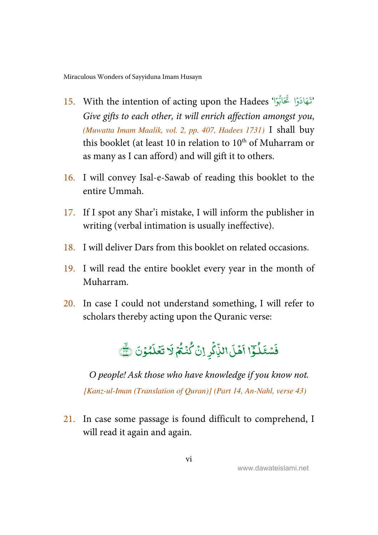- 15. With the intention of acting upon the Hadees 'فَقَادَوْا تَحَابُوْا ' ؚ<br>ؙ Give gifts to each other, it will enrich affection amongst you, (Muwatta Imam Maalik, vol. 2, pp. 407, Hadees 1731) I shall buy this booklet (at least 10 in relation to  $10<sup>th</sup>$  of Muharram or as many as I can afford) and will gift it to others.
- 16. I will convey Isal-e-Sawab of reading this booklet to the entire Ummah.
- 17. If I spot any Shar'i mistake, I will inform the publisher in writing (verbal intimation is usually ineffective).
- 18. I will deliver Dars from this booklet on related occasions.
- 19. I will read the entire booklet every year in the month of Muharram.
- 20. In case I could not understand something, I will refer to scholars thereby acting upon the Quranic verse:



O people! Ask those who have knowledge if you know not. [Kanz-ul-Iman (Translation of Quran)] (Part 14, An-Nahl, verse 43)

21. In case some passage is found difficult to comprehend, I will read it again and again.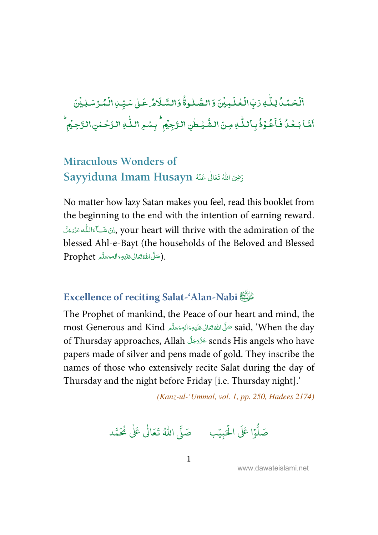<span id="page-7-0"></span>-.<br>اَلۡحَمۡدُۢ لِـلّٰہِ رَبِّ ֘ ٰ دَبِّ الْعٰلَـٰمِيۡنَ وَ الصَّّلٰوةُۚ وَالسَّـلَامُرْعَـٰلِىٰ سَيِّـِٰ الْمُـرۡ سَـٰلِيۡنَ ֘ ֘ ٰ i --ٰ -֘ ֘ أَمَّا بَـعُدُّ فَأَعُوُذُ - $\overline{a}$ -֦֧֦ - $\ddot{\cdot}$ فَأَعُوَٰذُ بِأَللّٰهِ مِنَ الشَّيۡطٰنِ ٰ ٰ الشَّيۡطٰنِ الرَّجِيۡمُ ۙ بِسۡهِ اللّٰهِ الرَّحۡمٰنِ الرَّحِيۡمِ <sup>,</sup> ٰ ؚ<br>؛ ,

#### **Miraculous Wonders of** Sayyiduna Imam Husayn *أَرْضِىَ* اللَّهُ تَعَالَىٰ عَنْهُ ֧֘ ر<br>ا

No matter how lazy Satan makes you feel, read this booklet from the beginning to the end with the intention of earning reward. لِنْ شَــَاءَاللّٰه عَزَّدَجَلَ, your heart will thrive with the admiration of the --Í -blessed Ahl-e-Bayt (the households of the Beloved and Blessed Prophet (صَلَّى اللَّهُتَعَالَى عَلَيْهِ وَالِهٖ وَسَلَّم , -Í --ć ا<br>ا --

#### **Excellence of reciting Salat-'Alan-Nabi** \$

The Prophet of mankind, the Peace of our heart and mind, the most Generous and Kind حَلَّىَ اللَّهُ تَعَالَى عَلَيْهِ وَالِهٖ وَسَلَّم most Generous and Kind -Í --ć --of Thursday approaches, Allah عَزَّدَجَلَّ sends His angels who have -papers made of silver and pens made of gold. They inscribe the names of those who extensively recite Salat during the day of Thursday and the night before Friday [i.e. Thursday night].'

(Kanz-ul-'Ummal, vol. 1, pp. 250, Hadees 2174)

.<br>وا عَلَى الْح ہ<br>ا و<br>آ صَلُّوْا عَلَى الْحَبِيْبِ ۚ صَلَّى اللَّهُ تَعَالَىٰ عَلَىٰ مُحَمَّد ֘ ٰ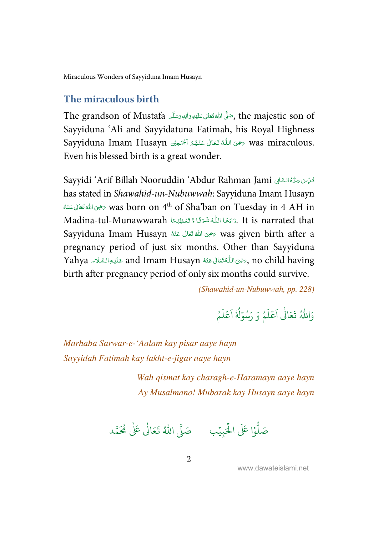<span id="page-8-0"></span>[Miraculous Wonders of Sayyiduna Imam Husayn](#page-48-0) 

#### **The miraculous birth**

The grandson of Mustafa سَمَّلَ اللَّهُ تَعَالَى عَلَيْهِ وَأَلِهٖ وَسَلَّمَ The grandson of Mustafa, -Í --ć <u>:</u> --Sayyiduna 'Ali and Sayyidatuna Fatimah, his Royal Highness Sayyiduna Imam Husayn تَحْيَى ٱللَّهُ تَعَالَى عَنْهُمْ أَجْمَعِينُ Sayyiduna Imam Husayn í -& - $\ddot{ }$ ؙؚ<br>֡ -Í -Even his blessed birth is a great wonder.

Sayyidi 'Arif Billah Nooruddin 'Abdur Rahman Jami ڤيّتنسِرُّهُالسَّابِي į ś ĺ has stated in Shawahid-un-Nubuwwah: Sayyiduna Imam Husayn -خَرَى اللهُ تَعَالَى عَنْهُ  $\sim$  was born on  $4^{\rm th}$  of Sha'ban on Tuesday in  $4 \rm \ AH$  in ć -ŕ Madina-tul-Munawwarah دَادَهَا اللَّهُ شَرَئًا وَّ تَعْظِيْمًا  $\;$  It is narrated that --í -> ֺ֦֧֦֦֧֦֦֧֧֧֧֧֧֧֧֦֧֧֦֧֧֦֧֧֦֧֚֚֚֝֬֝֬֝֓֬֓֓֝֓֬֓֬֓֓֝֓֬֓֓֬֓֓֓֝֓֓֓֓֓֓֓ ֺ֦֧֦֦֧֚֚֝<u>֓</u> -Í Sayyiduna Imam Husayn حرى الله تعانى عقة Mas given birth after a ź -ŕ pregnancy period of just six months. Other than Sayyiduna Yahya عَلَيْوالسَّلَامَ and Imam Husayn عَلَيْوالسَّلَامِ Tahya عَلَيْوالسَّلَامِ آ Ĵ ĺ -- $\overline{a}$ ---ŕ ś birth after pregnancy period of only six months could survive.

(Shawahid-un-Nubuwwah, pp. 228)

ء<br>م وَ ُ ر<br>آ ل ع ؚ<br>م ر<br>آ وَاللَّهُ تَعَالَٰى اَعْلَمُ وَ رَسُوۡلُهٗ اَعۡلَمُ ؚ<br>ؙ ُ ا ُ ر<br>آ ل ع ؚ<br>م ر<br>آ ا

Marhaba Sarwar-e-'Aalam kay pisar aaye hayn Sayyidah Fatimah kay lakht-e-jigar aaye hayn

> Wah qismat kay charagh-e-Haramayn aaye hayn Ay Musalmano! Mubarak kay Husayn aaye hayn

.<br>وا عَلَى الْح ر<br>آ و<br>آ صَلُّوْا عَلَى الْحَبِيْبِ ۚ صَلَّى اللَّهُ تَعَالَىٰ عَلَىٰ مُحَمَّد ֘ ٰ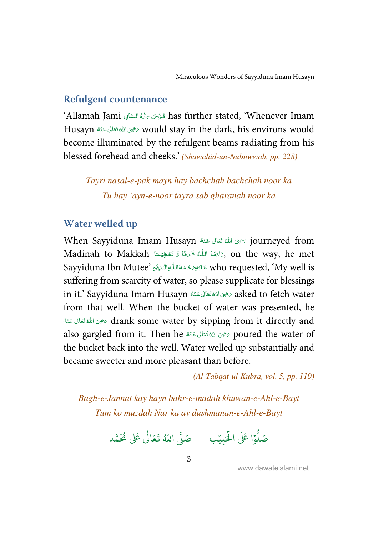### <span id="page-9-0"></span>**Refulgent countenance**

'Allamah Jami  7 , 8- 9 : ; 0 has further stated, 'Whenever Imam į ĺ ĺ Husayn رَضِيَ اللهُ تَعَالَى عَنْهُ Husayn سَنْوَى اللهَ تَعَالَى عَنْهُ Husayn ć -ć become illuminated by the refulgent beams radiating from his blessed forehead and cheeks.' (Shawahid-un-Nubuwwah, pp. 228)

Tayri nasal-e-pak mayn hay bachchah bachchah noor ka Tu hay 'ayn-e-noor tayra sab gharanah noor ka

#### **Water welled up**

When Sayyiduna Imam Husayn حَرْضِ اللَّهُ قَعَانَى عَنْهُ When Sayyiduna Imam Husayn ć -ś Madinah to Makkah كَاللَّهُ شَرَتًا وَ تَغْظِيْمًا), on the way, he met --í -> ֺ֧<sup>֓</sup> ֺ֦֧֦֦֦֚֚֝֬֝֝֬֝֓֓֝֬֝֓֝֬֝֓֬֝֓֬֝֓֬֝֓֬֝֓֬֝֓֬֝֓֬֝֓֬֝ í Sayyiduna Ibn Mutee' عَلَيْهِ َحْمَةُ اللّٰهِ الْبَرْنَى 'Sayyiduna Ibn Mutee -ļ ś -ļ suffering from scarcity of water, so please supplicate for blessings in it.' Sayyiduna Imam Husayn سَرْحَى اللَّهْ تَعَالَى عَنْهُ Sayyiduna Imam Husayn ć ֦ -ŕ from that well. When the bucket of water was presented, he ć فينَ اللهُ تَعَالَى عَنْهُ $\sigma$  drank some water by sipping from it directly and ---ć also gargled from it. Then he مخوى اللهُ تَعَالى عَنْهُ  $\gamma$  poured the water of ć -í the bucket back into the well. Water welled up substantially and became sweeter and more pleasant than before.

(Al-Tabqat-ul-Kubra, vol. 5, pp. 110)

Bagh-e-Jannat kay hayn bahr-e-madah khuwan-e-Ahl-e-Bayt Tum ko muzdah Nar ka ay dushmanan-e-Ahl-e-Bayt

.<br>وا عَلَى الْح ہ<br>ا و<br>ا صَلُّوْا عَلَى الْحَبِيْبِ ۚ صَلَّى اللَّهُ تَعَالَىٰ عَلَىٰ مُحَمَّد ֧֘ ٰ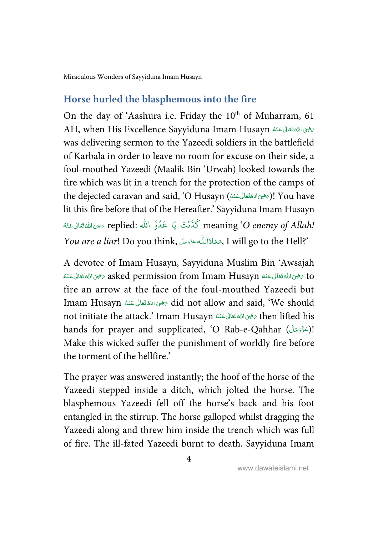<span id="page-10-0"></span>[Miraculous Wonders of Sayyiduna Imam Husayn](#page-48-0) 

### **Horse hurled the blasphemous into the fire**

On the day of 'Aashura i.e. Friday the  $10<sup>th</sup>$  of Muharram, 61 AH, when His Excellence Sayyiduna Imam Husayn الله تعانى عنه  $\epsilon$ ć   -ć was delivering sermon to the Yazeedi soldiers in the battlefield of Karbala in order to leave no room for excuse on their side, a foul-mouthed Yazeedi (Maalik Bin 'Urwah) looked towards the fire which was lit in a trench for the protection of the camps of the dejected caravan and said, 'O Husayn (الرَّضِى اللَّهْتَعَانِ عَنْهُ)! You have ć  $\overline{a}$ -í lit this fire before that of the Hereafter.' Sayyiduna Imam Husayn -مُحْدَاشَة بِيَا عَدُوَّ الله :replied وَكَذَبْتَ يَا عَدُوَّ الله ؟replied مَضِى اللهَقَعَالى عَنْهُ ć -í اد<br>ا ֘  $\it You$  are a liar! Do you think, حَعَاذَاللّٰه عَزَّدَجَلَ, I will go to the Hell?' ----

A devotee of Imam Husayn, Sayyiduna Muslim Bin 'Awsajah -قاستان عَنْهُ asked permission from Imam Husayn حَيْنَ اللَّهُ تَعَالَى عَنْهُ Asked permission from Imam Husayn ć ֦ -í ć  $\overline{a}$ -í fire an arrow at the face of the foul-mouthed Yazeedi but Imam Husayn رَضِى اللهُ تَعَالى عَنْهُ Id not allow and said, 'We should ć -í not initiate the attack.' Imam Husayn حَيْنَ اللَّهَ تَعَالَى عَنْهُ not initiate the attack.' Imam Husayn ć  $\overline{a}$ -ć hands for prayer and supplicated, 'O Rab-e-Qahhar (اعَزَّدَجَلَّ)! --Make this wicked suffer the punishment of worldly fire before the torment of the hellfire.'

The prayer was answered instantly; the hoof of the horse of the Yazeedi stepped inside a ditch, which jolted the horse. The blasphemous Yazeedi fell off the horse's back and his foot entangled in the stirrup. The horse galloped whilst dragging the Yazeedi along and threw him inside the trench which was full of fire. The ill-fated Yazeedi burnt to death. Sayyiduna Imam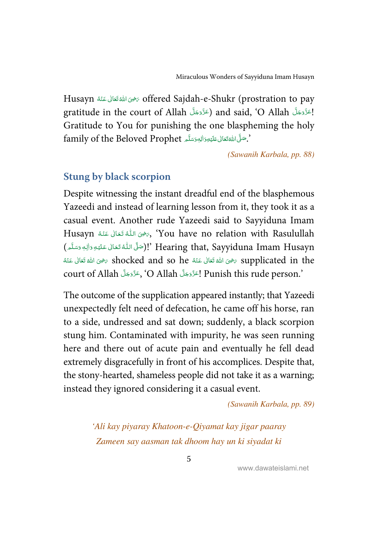<span id="page-11-0"></span>Husayn رَضِيَ اللهُ تَعَالَى عَنْهُ Husayn مَضْ offered Sajdah-e-Shukr (prostration to pay ć -ć gratitude in the court of Allah (عَزَّدَجَلَّ and said, 'O Allah (عَزَّدَجَلَّ ا ----Gratitude to You for punishing the one blaspheming the holy family of the Beloved Prophet أَسَّلَّا بِالْمُعْتَقَانِ عَلَيْهِ وَالْبَعَثَةَ لِمَا يَسْتَمَدُّ عَلَيْهِ وَا ĺ --ć ---

(Sawanih Karbala, pp. 88)

#### **Stung by black scorpion**

Despite witnessing the instant dreadful end of the blasphemous Yazeedi and instead of learning lesson from it, they took it as a casual event. Another rude Yazeedi said to Sayyiduna Imam Husayn شَرَى اللَّهُ تَعَالَى عَنْهُ Husayn بَحْيَنَ اللَّهُ تَعَالَى عَنْهُ -í -í (صَلَّى اللَّهُ تَعَالَى عَلَيْهِ وَالِهٖ وَسَلَّم )!' Hearing that, Sayyiduna Imam Husayn í --& Í ļ ٖ ----تَ فِي اللَّهُ تَعَالَى عَنْهُ  $\,$  hocked and so he حَضِي اللهُ تَعَالَى عَنْهُ  $\,$  supplicated in the ć -í ć -í court of Allah (اعَزَّدَجَلَّ O Allah) بِمَزَّدَجَلَ Punish this rude person.' ----

The outcome of the supplication appeared instantly; that Yazeedi unexpectedly felt need of defecation, he came off his horse, ran to a side, undressed and sat down; suddenly, a black scorpion stung him. Contaminated with impurity, he was seen running here and there out of acute pain and eventually he fell dead extremely disgracefully in front of his accomplices. Despite that, the stony-hearted, shameless people did not take it as a warning; instead they ignored considering it a casual event.

(Sawanih Karbala, pp. 89)

'Ali kay piyaray Khatoon-e-Qiyamat kay jigar paaray Zameen say aasman tak dhoom hay un ki siyadat ki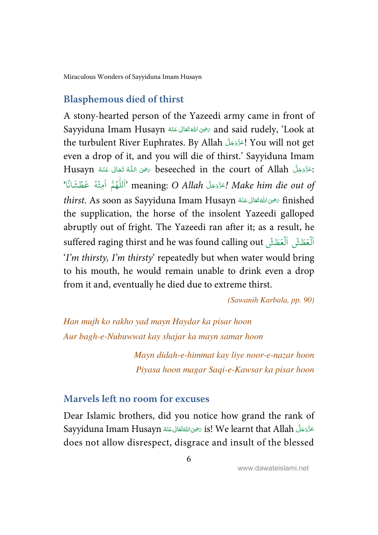<span id="page-12-0"></span>[Miraculous Wonders of Sayyiduna Imam Husayn](#page-48-0) 

#### **Blasphemous died of thirst**

A stony-hearted person of the Yazeedi army came in front of Sayyiduna Imam Husayn سَفِيَ اللهُ تَعَالَى عَنْهُ Sayyiduna Imam Husayn ć -ŕ the turbulent River Euphrates. By Allah اِعَرَّوَجَلَ You will not get -even a drop of it, and you will die of thirst.' Sayyiduna Imam Husayn تَقَزَّدَجَلَّ beseeched in the court of Allah رَضِى اللَّهُ تَعَالَى عَنْهُ Husayn -ŕ -ś --الْمُحَّةَ الْعِتْدَةَ meaning: O Allah المَحْدَوَجِدَ Make him die out of و<br>م ۡ و<br>م َ֧֦֘ - $thirst$ . As soon as Sayyiduna Imam Husayn مَرْحَى اللهُ تَعَانى عَنْهُ  $\operatorname{finished}$ ć  $\overline{a}$ -í the supplication, the horse of the insolent Yazeedi galloped abruptly out of fright. The Yazeedi ran after it; as a result, he suffered raging thirst and he was found calling out ٱلۡعَطَشۡ ٱلۡعَطَشۡ ٱلۡعَطَشَ ہ<br>آ َہ<br>آ َ'I'm thirsty, I'm thirsty' repeatedly but when water would bring to his mouth, he would remain unable to drink even a drop from it and, eventually he died due to extreme thirst.

(Sawanih Karbala, pp. 90)

Han mujh ko rakho yad mayn Haydar ka pisar hoon Aur bagh-e-Nubuwwat kay shajar ka mayn samar hoon

> Mayn didah-e-himmat kay liye noor-e-nazar hoon Piyasa hoon magar Saqi-e-Kawsar ka pisar hoon

#### **Marvels left no room for excuses**

Dear Islamic brothers, did you notice how grand the rank of Sayyiduna Imam Husayn حَذَّدَجَلَّ is! We learnt that Allah صَفِّيَ اللَّهَتَعَانَ عَنْهُ ć  $\overline{a}$ -ś -does not allow disrespect, disgrace and insult of the blessed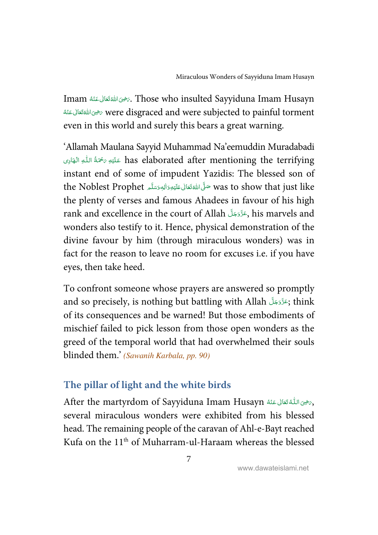<span id="page-13-0"></span>Imam شَرَى اللهُ تَعَالَى عَنْهُ Inam Husayn . ĺ -ŕ -خوى الله تَعَالى عَنْهُ $\sqrt{v}$  were disgraced and were subjected to painful torment --ĺ ć even in this world and surely this bears a great warning.

'Allamah Maulana Sayyid Muhammad Na'eemuddin Muradabadi -has elaborated after mentioning the terrifying عَلَيْهِ رَحْمَةُ اللَّهِ الْهَادِى j -á ļ instant end of some of impudent Yazidis: The blessed son of the Noblest Prophet حَلَّى اللَّهْ تَعَالى عَلَيْهِ وَاللهِ وَسَلَّمَ the Noblest Prophet ĺ --ć --the plenty of verses and famous Ahadees in favour of his high rank and excellence in the court of Allah - !-" - #, his marvels and -wonders also testify to it. Hence, physical demonstration of the divine favour by him (through miraculous wonders) was in fact for the reason to leave no room for excuses i.e. if you have eyes, then take heed.

To confront someone whose prayers are answered so promptly and so precisely, is nothing but battling with Allah بَحَّذَوَجَلَّ think -of its consequences and be warned! But those embodiments of mischief failed to pick lesson from those open wonders as the greed of the temporal world that had overwhelmed their souls blinded them.' (Sawanih Karbala, pp. 90)

### **The pillar of light and the white birds**

After the martyrdom of Sayyiduna Imam Husayn شَرَّضْ اللَّهُ تَعَانَى عَنْهُ After the martyrdom of Sayyiduna Imam --ŕ ć several miraculous wonders were exhibited from his blessed head. The remaining people of the caravan of Ahl-e-Bayt reached Kufa on the 11th of Muharram-ul-Haraam whereas the blessed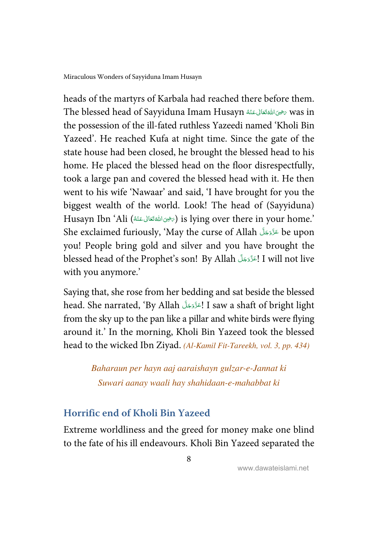<span id="page-14-0"></span>heads of the martyrs of Karbala had reached there before them. The blessed head of Sayyiduna Imam Husayn سَرْحِىَ اللَّهُ تَعَالَى عَنْهُ Re ć  $\overline{a}$ -í the possession of the ill-fated ruthless Yazeedi named 'Kholi Bin Yazeed'. He reached Kufa at night time. Since the gate of the state house had been closed, he brought the blessed head to his home. He placed the blessed head on the floor disrespectfully, took a large pan and covered the blessed head with it. He then went to his wife 'Nawaar' and said, 'I have brought for you the biggest wealth of the world. Look! The head of (Sayyiduna) Husayn Ibn 'Ali (ﷺ قَعَالى عَنْهُ) is lying over there in your home.' ć -í She exclaimed furiously, 'May the curse of Allah عَزَّدَجَلَّ be upon -you! People bring gold and silver and you have brought the blessed head of the Prophet's son! By Allah إعَرَّوَجَلَّ I will not live -with you anymore.'

Saying that, she rose from her bedding and sat beside the blessed head. She narrated, 'By Allah اعَزَّوَجَلَ I saw a shaft of bright light -from the sky up to the pan like a pillar and white birds were flying around it.' In the morning, Kholi Bin Yazeed took the blessed head to the wicked Ibn Ziyad. (Al-Kamil Fit-Tareekh, vol. 3, pp. 434)

> Baharaun per hayn aaj aaraishayn gulzar-e-Jannat ki Suwari aanay waali hay shahidaan-e-mahabbat ki

# **Horrific end of Kholi Bin Yazeed**

Extreme worldliness and the greed for money make one blind to the fate of his ill endeavours. Kholi Bin Yazeed separated the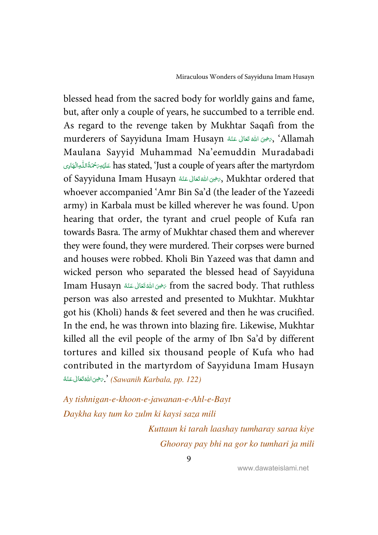blessed head from the sacred body for worldly gains and fame, but, after only a couple of years, he succumbed to a terrible end. As regard to the revenge taken by Mukhtar Saqafi from the murderers of Sayyiduna Imam Husayn شخص الله تعانى عَنْهُ Murderers of Sayyiduna Imam Husayn ć -ś Maulana Sayyid Muhammad Na'eemuddin Muradabadi --فَلَيْسِ يَحْمَدُّاللُّهِ has stated, 'Just a couple of years after the martyrdom ĺ -**.** -È. ļ of Sayyiduna Imam Husayn شَفَانَا عَنْهُ Rukhtar ordered that ć -í whoever accompanied 'Amr Bin Sa'd (the leader of the Yazeedi army) in Karbala must be killed wherever he was found. Upon hearing that order, the tyrant and cruel people of Kufa ran towards Basra. The army of Mukhtar chased them and wherever they were found, they were murdered. Their corpses were burned and houses were robbed. Kholi Bin Yazeed was that damn and wicked person who separated the blessed head of Sayyiduna Imam Husayn رَحْمَى اللهُ تَعَالى عَنْهُ Irom the sacred body. That ruthless ć -ŕ person was also arrested and presented to Mukhtar. Mukhtar got his (Kholi) hands & feet severed and then he was crucified. In the end, he was thrown into blazing fire. Likewise, Mukhtar killed all the evil people of the army of Ibn Sa'd by different tortures and killed six thousand people of Kufa who had contributed in the martyrdom of Sayyiduna Imam Husayn -څوکالله تخالی عَنْهٔ $\cdot$  (Sawanih Karbala, pp. 122) ć  $\overline{a}$ -í

Ay tishnigan-e-khoon-e-jawanan-e-Ahl-e-Bayt Daykha kay tum ko zulm ki kaysi saza mili Kuttaun ki tarah laashay tumharay saraa kiye Ghooray pay bhi na gor ko tumhari ja mili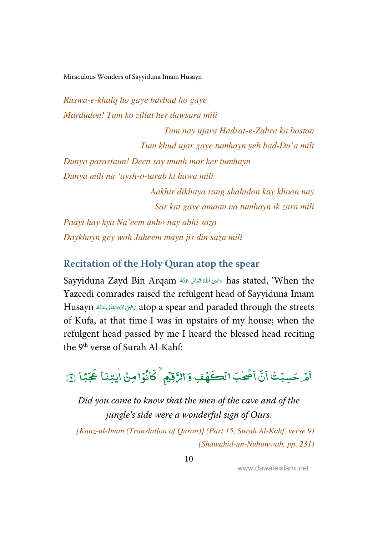<span id="page-16-0"></span>Ruswa-e-khalq ho gaye barbad ho gaye Mardudon! Tum ko zillat her dawsara mili Tum nay ujara Hadrat-e-Zahra ka bostan Tum khud ujar gaye tumhayn yeh bad-Du'a mili Dunya parastaun! Deen say munh mor ker tumhayn Dunya mili na 'aysh-o-tarab ki hawa mili Aakhir dikhaya rang shahidon kay khoon nay Sar kat gaye amaan na tumhayn ik zara mili Paayi hay kya Na'eem unho nay abhi saza Daykhayn gey woh Jaheem mayn jis din saza mili

#### **Recitation of the Holy Quran atop the spear**

Sayyiduna Zayd Bin Arqam سَحْقَ اللَّهَ تَعَالَى عَنْهُ Sayyiduna Zayd Bin Arqam ć -ŕ Yazeedi comrades raised the refulgent head of Sayyiduna Imam Husayn سَرْحِى اللَّهَ تَعَالَى عَنْهُ Husayn مَشْيَرَ atop a spear and paraded through the streets ć ֦ -í of Kufa, at that time I was in upstairs of my house; when the refulgent head passed by me I heard the blessed head reciting the 9<sup>th</sup> verse of Surah Al-Kahf:

#### ا<br>أهر أَهْرْ حَسِبْتَ ֘ تع<br>ت  $\mathbf{r}$ Í .<br>آ اَصِّحْبَ انْكَهَّفِ وَ الرَّقِيْمِ ۖ كَانُوْا ֧֚֚֚֝<br>֧֚֚֝ ٰ <u>ہ</u> ֧֘ ,  $\overline{\phantom{a}}$ -J كَانُوًا مِنُ اٰيِتِنَا بَجَبًا ֦֧֦֧֦ ٰ ٰ  $\overline{\phantom{a}}$ عَبَّا ۞

Did you come to know that the men of the cave and of the jungle's side were a wonderful sign of Ours.

 [Kanz-ul-Iman (Translation of Quran)] (Part 15, Surah Al-Kahf, verse 9) (Shawahid-un-Nubuwwah, pp. 231)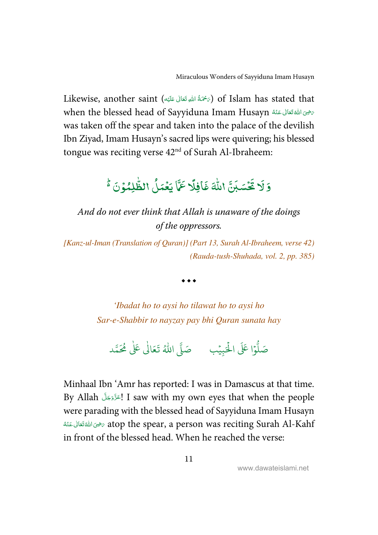Likewise, another saint (﴿حَمَّةُ اللَّهِ تَعَالَى عَلَيْهِ) of Islam has stated that í -Í --when the blessed head of Sayyiduna Imam Husayn سَرْحَىَ اللَّهُ تَعَالَى عَنْهُ ĺ -ĺ was taken off the spear and taken into the palace of the devilish Ibn Ziyad, Imam Husayn's sacred lips were quivering; his blessed tongue was reciting verse  $42<sup>nd</sup>$  of Surah Al-Ibraheem:

#### ۇلا  $\overline{\phantom{a}}$ = ر<br>بن و<br>قسّباً ۡ  $\overline{\phantom{a}}$ تَكَسَبَنَّ اللَّهَ ٰ با<br>أ اللَّهَ غَافِلًا l<br>T افِلَا  $\overline{\cdot}$ غَافِلًا عَمَّا ر<br>م ت<br>ً6 عَمَّا يَعۡدَلُ الظَّٰلِمُوۡ -<u>ّ</u> ֧֘ -ٰ ļ لظَّلِمُوۡنَ ۡ }

And do not ever think that Allah is unaware of the doings of the oppressors.

[Kanz-ul-Iman (Translation of Quran)] (Part 13, Surah Al-Ibraheem, verse 42) (Rauda-tush-Shuhada, vol. 2, pp. 385)

 $\bullet\bullet\bullet$ 

'Ibadat ho to aysi ho tilawat ho to aysi ho Sar-e-Shabbir to nayzay pay bhi Quran sunata hay

.<br>وا عَلَى الْح ر<br>آ و<br>آ صَلُّوْا عَلَى الْحَبِيْبِ ۚ صَلَّى اللَّهُ تَعَالَىٰ عَلَىٰ مُحَمَّد ֘ ٰ

Minhaal Ibn 'Amr has reported: I was in Damascus at that time. By Allah التَّزَّدَ I saw with my own eyes that when the people -were parading with the blessed head of Sayyiduna Imam Husayn -مضِى اللهَ تَعَالَى عَنْهُ atop the spear, a person was reciting Surah Al-Kahf ć  $\overline{a}$ -í in front of the blessed head. When he reached the verse:

11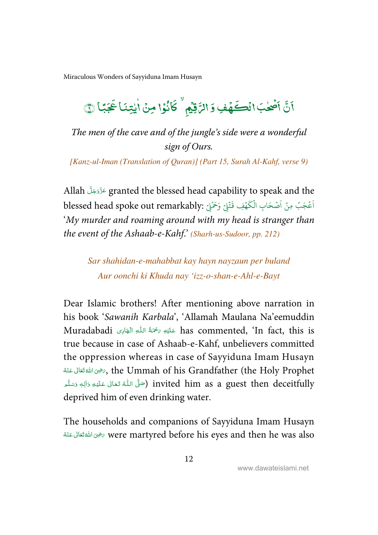#### $\overline{\mathbf{a}}$ Í ֡֡ نَّ أَصْلٰبَ ٰ ؚ<br>ۣ  $\ddot{\phantom{0}}$ ا<br>أَصْحٰبَ انْڪَهُفِ وَ الرَّقِيْمِ ۗ كَانُوْا ֧֦֘ , ؚ<br>ۣ - $\overline{\phantom{a}}$ كَانُوًا مِنْ اٰيِتِنَا عَجَبًا ֦֧֦֧֦֧֦֧֦֧֦֧֦֧֦ ٰ ٰ  $\overline{\phantom{a}}$ عَبَّا ٢

The men of the cave and of the jungle's side were a wonderful sign of Ours.

[Kanz-ul-Iman (Translation of Quran)] (Part 15, Surah Al-Kahf, verse 9)

Allah عَدَّدَخِلَّ aranted the blessed head capability to speak and the -blessed head spoke out remarkably: وَحَمْلِيْ بِرَحْمَلِيْ جَلَيْنَ بِهِ blessed head spoke out remarkably: ់ ֘ ؚ<br>أ ؚ<br>م ا 'My murder and roaming around with my head is stranger than the event of the Ashaab-e-Kahf.' (Sharh-us-Sudoor, pp. 212)

Sar shahidan-e-mahabbat kay hayn nayzaun per buland Aur oonchi ki Khuda nay 'izz-o-shan-e-Ahl-e-Bayt

Dear Islamic brothers! After mentioning above narration in his book 'Sawanih Karbala', 'Allamah Maulana Na'eemuddin Muradabadi (أَ عَلَيْهِ  $\sim$   $\sim$  has commented, 'In fact, this is ĺ ŕ. ļ true because in case of Ashaab-e-Kahf, unbelievers committed the oppression whereas in case of Sayyiduna Imam Husayn -# (& -   ) 2 . 3 , the Ummah of his Grandfather (the Holy Prophet ć -ś سَنَّ (صَلَّى اللَّهُ تَعَالَىٰ عَلَيْهِ وَالِهٖ وَسَلَّم ) invited him as a guest then deceitfully ŕ --& Í j ٖ --deprived him of even drinking water.

The households and companions of Sayyiduna Imam Husayn -نوى اللهَ تَعَالَى عَنْهُ were martyred before his eyes and then he was also ć -ŕ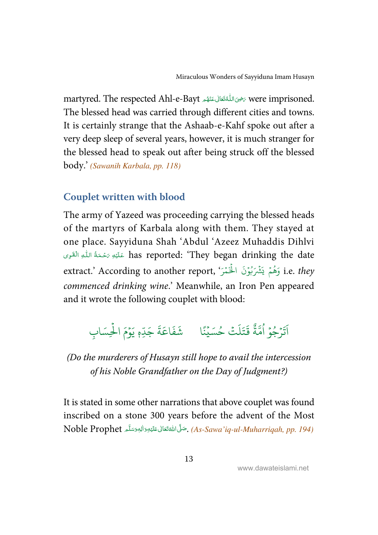<span id="page-19-0"></span>martyred. The respected Ahl-e-Bayt حرض اللُّهَ تَعَالى عَنْهُم were imprisoned.  $\overline{a}$ ---ŕ í ć The blessed head was carried through different cities and towns. It is certainly strange that the Ashaab-e-Kahf spoke out after a very deep sleep of several years, however, it is much stranger for the blessed head to speak out after being struck off the blessed body.' (Sawanih Karbala, pp. 118)

#### **Couplet written with blood**

The army of Yazeed was proceeding carrying the blessed heads of the martyrs of Karbala along with them. They stayed at one place. Sayyiduna Shah 'Abdul 'Azeez Muhaddis Dihlvi has reported: 'They began drinking the date عَلَيْهِ رَحْمَةُ اللَّهِ الْقَوِى ś -Í --extract.' According to another report, 'يَثْمَرُبُوْنَ الْخَمْرَ') i.e. *they* ر<br>۸ ֘ ֘ ُ ֧֘ ہ<br>ا commenced drinking wine.' Meanwhile, an Iron Pen appeared and it wrote the following couplet with blood:

#### $\ddot{\phantom{0}}$ پرو<br>ترجو ُ ֧<sup>֓</sup> ِ<br>آ اَتَرْجُوۡ اُمَّةً و<br>ا ِ<br>په ة<br>قَتَلَتُ ل َ ت  $\ddot{\mathbf{r}}$ قَتَلَتْ خُسَيْنًا شَفَاعَةَ ُ ؚ<br>ۣ  $\frac{1}{2}$ ةَ جَدِّم يَوۡمَ الۡحِسَابِ ہ<br>آ  $\ddot{\phantom{0}}$

### (Do the murderers of Husayn still hope to avail the intercession of his Noble Grandfather on the Day of Judgment?)

It is stated in some other narrations that above couplet was found inscribed on a stone 300 years before the advent of the Most Noble Prophet شَوَّانانْ عَلَيْوِدَالِهٖوَسَلَّمِ Noble Prophet -Í --ć ---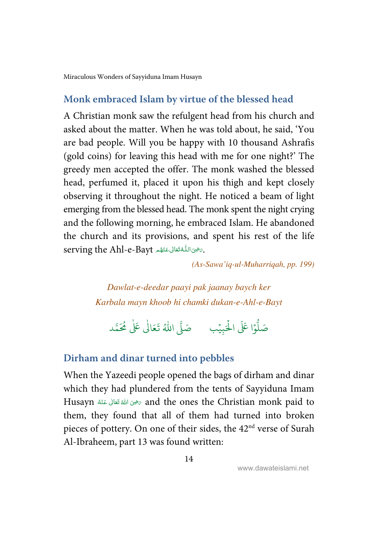#### <span id="page-20-0"></span>**Monk embraced Islam by virtue of the blessed head**

A Christian monk saw the refulgent head from his church and asked about the matter. When he was told about, he said, 'You are bad people. Will you be happy with 10 thousand Ashrafis (gold coins) for leaving this head with me for one night?' The greedy men accepted the offer. The monk washed the blessed head, perfumed it, placed it upon his thigh and kept closely observing it throughout the night. He noticed a beam of light emerging from the blessed head. The monk spent the night crying and the following morning, he embraced Islam. He abandoned the church and its provisions, and spent his rest of the life serving the Ahl-e-Bayt حَنْهُم ari  $\overline{a}$ -í j -í

(As-Sawa'iq-ul-Muharriqah, pp. 199)

Dawlat-e-deedar paayi pak jaanay baych ker Karbala mayn khoob hi chamki dukan-e-Ahl-e-Bayt

.<br>وا عَلَى الْح ہ<br>ا و<br>ا صَلُّوْا عَلَى الْحَبِيْبِ ۚ صَلَّى اللَّهُ تَعَالَىٰ عَلَىٰ مُحَمَّد ֧֘ ٰ

#### **Dirham and dinar turned into pebbles**

When the Yazeedi people opened the bags of dirham and dinar which they had plundered from the tents of Sayyiduna Imam Husayn مَضِى اللهُ تَعَانَى عَنْهُ Husayn فَالله عَانَى عَنْهُ Husayn مَضْيَنَ اللهُ قَتَانَى عَنْهُ ć -ŕ them, they found that all of them had turned into broken pieces of pottery. On one of their sides, the 42<sup>nd</sup> verse of Surah Al-Ibraheem, part 13 was found written: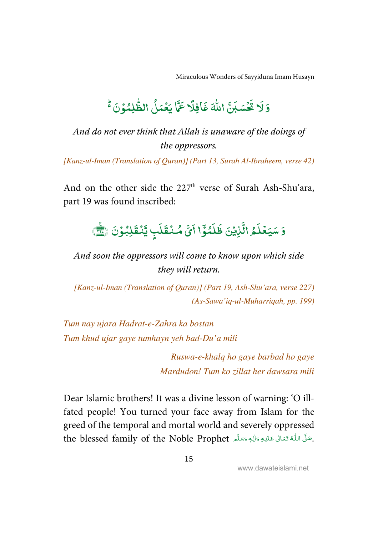#### ۇلا  $\overline{\phantom{a}}$ = بر<br>بن و<br>قسّباً ֘  $\overline{\phantom{a}}$ تَكَسَبَنَّ اللَّهَ ٰ ř اللَّهَ غَافِلًا l<br>T )فِلَا  $\overline{\cdot}$ غَافِلًا عَمَّا ے<br>ج ت<br>في عَمَّا يَعۡدَلُ الظَّٰلِمُوۡ -<u>ہ</u> ֧֘ -ٰ ļ الظَّلِمُوۡنَا ֦

# And do not ever think that Allah is unaware of the doings of the oppressors.

[Kanz-ul-Iman (Translation of Quran)] (Part 13, Surah Al-Ibraheem, verse 42)

And on the other side the  $227<sup>th</sup>$  verse of Surah Ash-Shu'ara, part 19 was found inscribed:

#### .<br>5 سَيَعۡلَمُ - $\overline{\phantom{a}}$ سَيَعۡلَمُ الَّٰٓلِيۡنَ  $\overline{a}$ ֧֓<sup>֓</sup>֓ Ĵ١ ِ<br>پ  $\frac{1}{2}$ ئوتخ - $\overline{\phantom{a}}$  $\tilde{\lambda}$  $\overline{\phantom{a}}$ ظَلَمُوَّا .<br>آی أَيَّ مُنۡقَلَبٍ  $\overline{\phantom{a}}$ ĺ ្ត مُنۡقَلَبٖ يَّنۡقَلِبُوۡنَ ֘ -ؚ<br>ۣ -֦ بنق ֧֦֧<sup>֓</sup>֧֓ يَّنۡقَلِبُوۡنَ ۞َ

And soon the oppressors will come to know upon which side they will return.

[Kanz-ul-Iman (Translation of Quran)] (Part 19, Ash-Shu'ara, verse 227) (As-Sawa'iq-ul-Muharriqah, pp. 199)

Tum nay ujara Hadrat-e-Zahra ka bostan Tum khud ujar gaye tumhayn yeh bad-Du'a mili

> Ruswa-e-khalq ho gaye barbad ho gaye Mardudon! Tum ko zillat her dawsara mili

Dear Islamic brothers! It was a divine lesson of warning: 'O illfated people! You turned your face away from Islam for the greed of the temporal and mortal world and severely oppressed the blessed family of the Noble Prophet حَلَّى اللَّهُ تَعَالَى عَلَيْهِ وَالِهِ وَسَلَّمَ ŕ --& ĺ ļ ٖ ---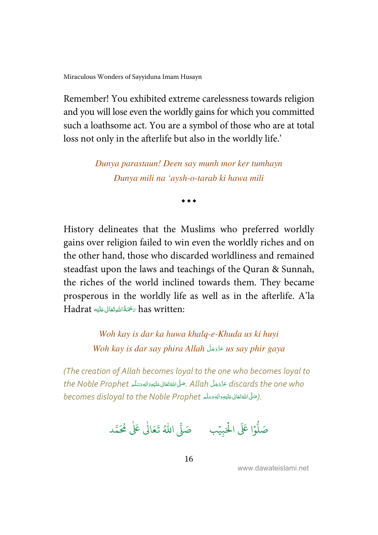[Miraculous Wonders of Sayyiduna Imam Husayn](#page-48-0) 

Remember! You exhibited extreme carelessness towards religion and you will lose even the worldly gains for which you committed such a loathsome act. You are a symbol of those who are at total loss not only in the afterlife but also in the worldly life.'

> Dunya parastaun! Deen say munh mor ker tumhayn Dunya mili na 'aysh-o-tarab ki hawa mili

> > $\bullet$   $\bullet$   $\bullet$

History delineates that the Muslims who preferred worldly gains over religion failed to win even the worldly riches and on the other hand, those who discarded worldliness and remained steadfast upon the laws and teachings of the Quran & Sunnah, the riches of the world inclined towards them. They became prosperous in the worldly life as well as in the afterlife. A'la Hadrat سَحْمَةُاللَّهِتَعَالَى عَلَيْهِ Hadrat ĺ --ŕ -

> Woh kay is dar ka huwa khalq-e-Khuda us ki huyi Woh kay is dar say phira Allah عَدَّدَجَلَ us say phir gaya --

(The creation of Allah becomes loyal to the one who becomes loyal to the Noble Prophet جَنَّلْ Allah جَمَّال عَلَيْهِ وَاللهِ وَسَلَّم the Noble Prophet ļ ĺ --ĺ ----becomes disloyal to the Noble Prophet أو الجوَسَلَّم الموضوَّة (becomes disloyal to the Noble Prophet ļ ĺ --ć ---

.<br>وا عَلَى الْح ہ<br>ا و<br>آ صَلُّوْا عَلَى الْحَبِيْبِ ۚ صَلَّى اللَّهُ تَعَالَىٰ عَلَىٰ مُحَمَّد ֘ ٰ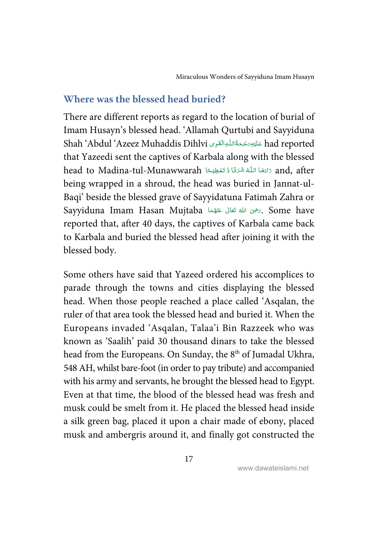#### <span id="page-23-0"></span>**Where was the blessed head buried?**

There are different reports as regard to the location of burial of Imam Husayn's blessed head. 'Allamah Qurtubi and Sayyiduna Shah 'Abdul 'Azeez Muhaddis Dihlvi عَلَيْهِ َحْمَةُاللّٰهِ الْقَوِى ad reported j -Í --that Yazeedi sent the captives of Karbala along with the blessed head to Madina-tul-Munawwarah تَامَعَا اللَّهُ شَرَتًا وَّ تَعْظِيْمًا `` and, after --í -> ֺ֧<sup>֟</sup> ֺ֦֧֦֦֧֦֦֚֚֝֬֝֬֝֬֝֓֬֝֓֬֝֬֝֓֬֝֓֬֝֓֬֝֓֬֝֓֬֝֓֬֝֓֬֝֓֬ ĺ being wrapped in a shroud, the head was buried in Jannat-ul-Baqi' beside the blessed grave of Sayyidatuna Fatimah Zahra or Sayyiduna Imam Hasan Mujtaba حَيْثَ الله تَعَالى عَنْهُمَا  $\mathscr{E}$  . Some have í -ć --reported that, after 40 days, the captives of Karbala came back to Karbala and buried the blessed head after joining it with the blessed body.

Some others have said that Yazeed ordered his accomplices to parade through the towns and cities displaying the blessed head. When those people reached a place called 'Asqalan, the ruler of that area took the blessed head and buried it. When the Europeans invaded 'Asqalan, Talaa'i Bin Razzeek who was known as 'Saalih' paid 30 thousand dinars to take the blessed head from the Europeans. On Sunday, the 8<sup>th</sup> of Jumadal Ukhra, 548 AH, whilst bare-foot (in order to pay tribute) and accompanied with his army and servants, he brought the blessed head to Egypt. Even at that time, the blood of the blessed head was fresh and musk could be smelt from it. He placed the blessed head inside a silk green bag, placed it upon a chair made of ebony, placed musk and ambergris around it, and finally got constructed the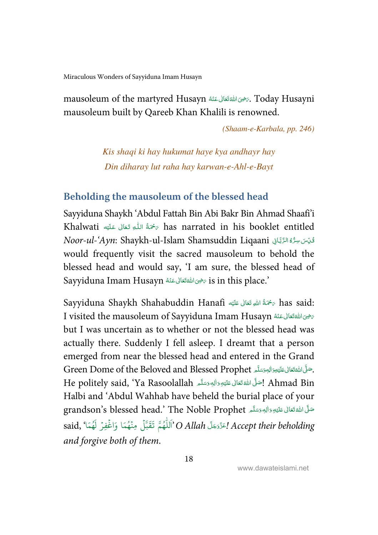<span id="page-24-0"></span>mausoleum of the martyred Husayn حَضِىَ اللَّهَ تَعَالَى عَنْهُ Mausoleum of the martyred Husayni ć  $\overline{a}$ -ś mausoleum built by Qareeb Khan Khalili is renowned.

(Shaam-e-Karbala, pp. 246)

Kis shaqi ki hay hukumat haye kya andhayr hay Din diharay lut raha hay karwan-e-Ahl-e-Bayt

#### **Beholding the mausoleum of the blessed head**

Sayyiduna Shaykh 'Abdul Fattah Bin Abi Bakr Bin Ahmad Shaafi'i Khalwati ﴿ تَحْمَةُ اللَّهِ تَعَالَى عَلَيْهِ Khalwati مَرْضَةُ اللَّهِ تَعَالَى عَلَيْه ŕ ļ --Í -Noor-ul-'Ayn: Shaykh-ul-Islam Shamsuddin Liqaani فَوِّسَ سِرُّهٗ الرَّبَّانِي Í  $\ddot{\phantom{a}}$ ć would frequently visit the sacred mausoleum to behold the blessed head and would say, 'I am sure, the blessed head of Sayyiduna Imam Husayn حَيْرَ اللَّهُ تَعَالَى عَنْهُ Sayyiduna Imam Husayn ć  $\overline{a}$ -ŕ

Sayyiduna Shaykh Shahabuddin Hanafi كَسْمَةُ اللهِ تَعَالى عَلَيْهِ Sayyiduna Shaykh Shahabuddin Hanafi Í --ŕ -I visited the mausoleum of Sayyiduna Imam Husayn سَرْحِىَ اللَّهَ تَعَالَى عَنْهُ ć  $\overline{a}$ -ć but I was uncertain as to whether or not the blessed head was actually there. Suddenly I fell asleep. I dreamt that a person emerged from near the blessed head and entered in the Grand Green Dome of the Beloved and Blessed Prophet . حَنَّى اللَّهَ تَعَالَى عَلَيْهِ وَاللهِ وَسَلَّمَ ć ĺ :<br>: -He politely said, 'Ya Rasoolallah أَصَلَّ اللَّهُ تَعَالَى عَلَيْهِ وَاللهٖ وَسَلَّم اللهُ E politely said, 'Ya ĺ --ć ---Halbi and 'Abdul Wahhab have beheld the burial place of your grandson's blessed head.' The Noble Prophet تَسَلَّى اللَّهُ تَعَانَى عَلَيْهِ وَالِهِ وَسَلَّمَ Í --ć -**:** said, 'اَللَّهُمَّ تَقَبَّلْ مِنْهُمَا وَاغْفِرْ لَهُمَا ) said, 'أَوْفِرْ لَهُمَا ر<br>م ؚ<br>: ہ<br>آ و<br>م  $\ddot{\cdot}$ و<br>م -and forgive both of them.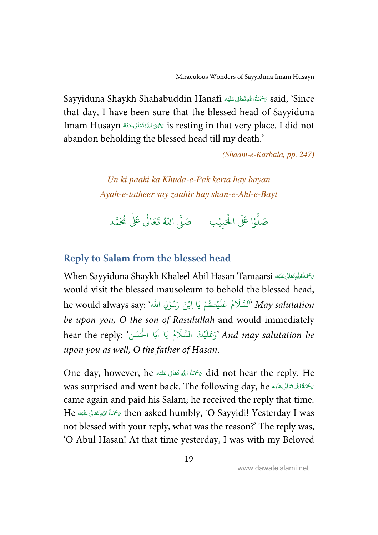<span id="page-25-0"></span>Sayyiduna Shaykh Shahabuddin Hanafi كَمُحْدًاللهِ تَعَالى عَلَيْه Í --í that day, I have been sure that the blessed head of Sayyiduna Imam Husayn رَضِى اللهَ تَعَالى عَنْهُ Is resting in that very place. I did not ć ֦ -í abandon beholding the blessed head till my death.'

(Shaam-e-Karbala, pp. 247)

Un ki paaki ka Khuda-e-Pak kerta hay bayan Ayah-e-tatheer say zaahir hay shan-e-Ahl-e-Bayt

.<br>وا عَلَى الْح ہ<br>ا و<br>ا صَلُّوْا عَلَى الْحَبِيْبِ ۚ صَلَّى اللَّهُ تَعَالَىٰ عَلَىٰ مُحَمَّد ֧֘ ٰ

### **Reply to Salam from the blessed head**

When Sayyiduna Shaykh Khaleel Abil Hasan Tamaarsi سَحْمَةُاللَّيْحَانُ عَكِّهِ ĺ -Í -would visit the blessed mausoleum to behold the blessed head, he would always say: 'َلَسَّلَامُ عَلَيْكُمْ يَا اِبْنَ رَسُوْلِ الله $^{\circ}$  May salutation ر<br>و  $\frac{1}{2}$ ֧֘ الم ֘ be upon you, O the son of Rasulullah and would immediately .<br>And may salutation be 'وَعَلَيْكَ السَّلَامُ يَا آبَا الْحَسَن' :hear the reply ֧<sup>֓</sup> ُ ہ<br>1 upon you as well, O the father of Hasan.

One day, however, he مَحْمَةُ اللهِ تَعَالَى عَلَيْهِ One day, however, he Í --ĺ was surprised and went back. The following day, he سَمَّةُ اللَّهِ تَعَالَى عَلَيْهِ Í ---came again and paid his Salam; he received the reply that time. He ' (& -  )   C --. then asked humbly, 'O Sayyidi! Yesterday I was Í --ŕ not blessed with your reply, what was the reason?' The reply was, 'O Abul Hasan! At that time yesterday, I was with my Beloved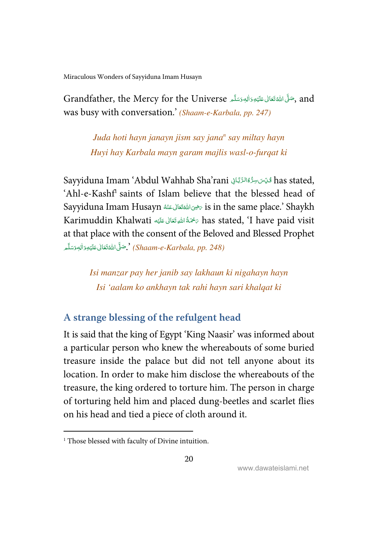<span id="page-26-0"></span>Grandfather, the Mercy for the Universe ,کُلُّ اللَّهَ تَعَالى عَلَيْهِ وَالْهِ وَسَلَّم Grandfather, the Mercy for the Universe -Í --ć --was busy with conversation.' (Shaam-e-Karbala, pp. 247)

> Juda hoti hayn janayn jism say jana<sup>n</sup> say miltay hayn Huyi hay Karbala mayn garam majlis wasl-o-furqat ki

Sayyiduna Imam 'Abdul Wahhab Sha'rani تَحْدِّت سِرُّهُ الرَّبَّانِيَ has stated, Í Ĵ 1 ĺ 'Ahl-e-Kashf<sup>1</sup> saints of Islam believe that the blessed head of Sayyiduna Imam Husayn سَرُوكالله عَنْهُ Sayyiduna Imam Husayn مَتَّالى عَنْهُ  $\,$ is in the same place.' Shaykh ć  $\overline{a}$ -í Karimuddin Khalwati سُخَةُ اللهِ تَعَالى عَلَيْهِ Karimuddin Khalwati مَضْمَةُ اللهِ تَعَالى عَليْه Í --ĺ at that place with the consent of the Beloved and Blessed Prophet

ضَّلِّ اللَّهُ تَعَالَىٰ عَلَيْهِ وَالْمِوَسَلَّـمِ $\ll$  (Shaam-e-Karbala, pp. 248) -Í --ć ---

> Isi manzar pay her janib say lakhaun ki nigahayn hayn Isi 'aalam ko ankhayn tak rahi hayn sari khalqat ki

### **A strange blessing of the refulgent head**

It is said that the king of Egypt 'King Naasir' was informed about a particular person who knew the whereabouts of some buried treasure inside the palace but did not tell anyone about its location. In order to make him disclose the whereabouts of the treasure, the king ordered to torture him. The person in charge of torturing held him and placed dung-beetles and scarlet flies on his head and tied a piece of cloth around it.

l

<sup>&</sup>lt;sup>1</sup> Those blessed with faculty of Divine intuition.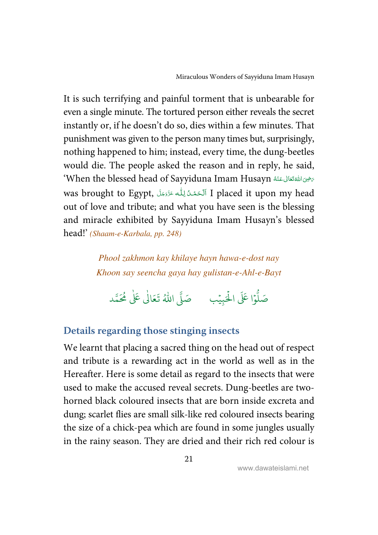<span id="page-27-0"></span>It is such terrifying and painful torment that is unbearable for even a single minute. The tortured person either reveals the secret instantly or, if he doesn't do so, dies within a few minutes. That punishment was given to the person many times but, surprisingly, nothing happened to him; instead, every time, the dung-beetles would die. The people asked the reason and in reply, he said, بَحْوَىاللَّهُ تَعَالَى عَنْهُ When the blessed head of Sayyiduna Imam Husayn<sup>؟</sup> ć  $\overline{a}$ -í was brought to Egypt, ٱلْحَمْدُلِلّٰه عَزَدَجَلَ I placed it upon my head Í í í j -out of love and tribute; and what you have seen is the blessing and miracle exhibited by Sayyiduna Imam Husayn's blessed head!' (Shaam-e-Karbala, pp. 248)

> Phool zakhmon kay khilaye hayn hawa-e-dost nay Khoon say seencha gaya hay gulistan-e-Ahl-e-Bayt

.<br>وا عَلَى الْح ر<br>آ و<br>آ صَلُّوْا عَلَى الْحَبِيْبِ ۚ صَلَّى اللَّهُ تَعَالَىٰ عَلَىٰ مُحَمَّد ֘ ٰ

# **Details regarding those stinging insects**

We learnt that placing a sacred thing on the head out of respect and tribute is a rewarding act in the world as well as in the Hereafter. Here is some detail as regard to the insects that were used to make the accused reveal secrets. Dung-beetles are twohorned black coloured insects that are born inside excreta and dung; scarlet flies are small silk-like red coloured insects bearing the size of a chick-pea which are found in some jungles usually in the rainy season. They are dried and their rich red colour is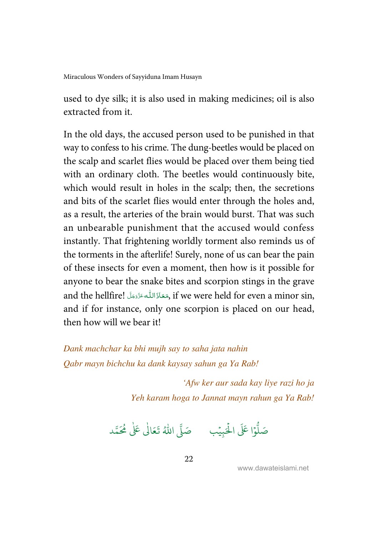used to dye silk; it is also used in making medicines; oil is also extracted from it

In the old days, the accused person used to be punished in that way to confess to his crime. The dung-beetles would be placed on the scalp and scarlet flies would be placed over them being tied with an ordinary cloth. The beetles would continuously bite, which would result in holes in the scalp; then, the secretions and bits of the scarlet flies would enter through the holes and, as a result, the arteries of the brain would burst. That was such an unbearable punishment that the accused would confess instantly. That frightening worldly torment also reminds us of the torments in the afterlife! Surely, none of us can bear the pain of these insects for even a moment, then how is it possible for anyone to bear the snake bites and scorpion stings in the grave and the hellfire! مَعَاذَاللّٰه عَزَّدَجَلّ , if we were held for even a minor sin, ----and if for instance, only one scorpion is placed on our head, then how will we bear it!

Dank machchar ka bhi mujh say to saha jata nahin Qabr mayn bichchu ka dank kaysay sahun ga Ya Rab!

> 'Afw ker aur sada kay liye razi ho ja Yeh karam hoga to Jannat mayn rahun ga Ya Rab!

.<br>وا عَلَى الْح ر<br>آ و<br>آ صَلُّوْا عَلَى الْحَبِيْبِ ۚ صَلَّى اللَّهُ تَعَالَىٰ عَلَىٰ مُحَمَّد ֘ ٰ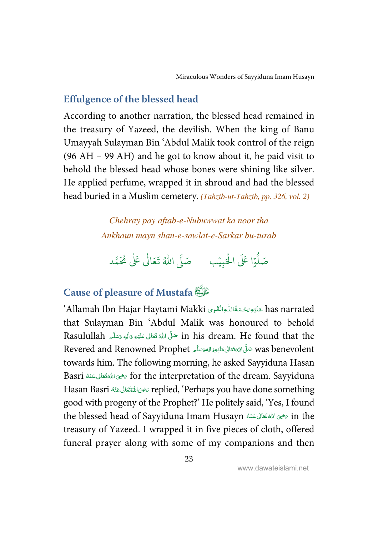#### <span id="page-29-0"></span>**Effulgence of the blessed head**

According to another narration, the blessed head remained in the treasury of Yazeed, the devilish. When the king of Banu Umayyah Sulayman Bin 'Abdul Malik took control of the reign (96 AH – 99 AH) and he got to know about it, he paid visit to behold the blessed head whose bones were shining like silver. He applied perfume, wrapped it in shroud and had the blessed head buried in a Muslim cemetery. (Tahzib-ut-Tahzib, pp. 326, vol. 2)

> Chehray pay aftab-e-Nubuwwat ka noor tha Ankhaun mayn shan-e-sawlat-e-Sarkar bu-turab

.<br>وا عَلَى الْح ہ<br>ا و<br>ا صَلُّوْا عَلَى الْحَبِيْبِ ۚ صَلَّى اللَّهُ تَعَالَىٰ عَلَىٰ مُحَمَّد ֧֘ ٰ

# **Cause of pleasure of Mustafa** \$

ʻAllamah Ibn Hajar Haytami Makki عَلَيْهِ رَحْمَةُ اللّٰهِ النَّقْوِى الكلماء Allamah Ibn Hajar Haytami ś ĺ --that Sulayman Bin 'Abdul Malik was honoured to behold Rasulullah حَلَّى اللهُ قَعَانِ عَلَيْهِ وَالِهِ وَسَلَّمَ Rasulullah فَيَا اللهَ عَلَيْهِ وَاللهِ وَسَلَّمَ -Í --ć ا<br>ا --Revered and Renowned Prophet سَنَّى اللَّهْتَعَالى عَلَيْهِوَالِهِوَسَلَّہ Revered and Renowned Prophet ĺ ---**:** towards him. The following morning, he asked Sayyiduna Hasan Basri تَحْوَى اللَّهْ قَعَالَى عَنْهُ Basri تَكْرَاهُ الْمَكْتَانَى عَنْهُ  $\,$  for the interpretation of the dream. Sayyiduna ź  $\overline{a}$ -ć Hasan Basri تَجْوَاللَّهُ replied, 'Perhaps you have done something ć  $\overline{\phantom{0}}$ -í good with progeny of the Prophet?' He politely said, 'Yes, I found the blessed head of Sayyiduna Imam Husayn سَرْحَى اللَّهُ تَعَالَى عَنْهُ He ć -ŕ treasury of Yazeed. I wrapped it in five pieces of cloth, offered funeral prayer along with some of my companions and then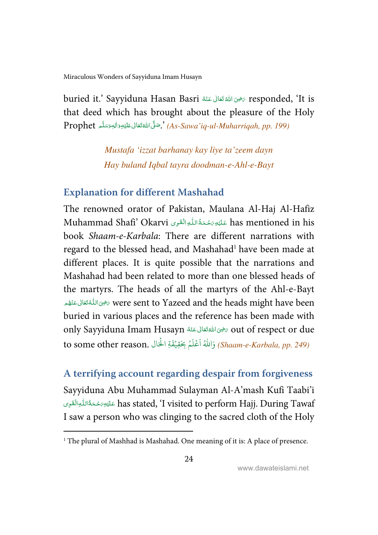<span id="page-30-0"></span>buried it.' Sayyiduna Hasan Basri حَرْمِى اللَّهَ تَعَالَى عَنْهُ sesponded, 'It is ć -ć that deed which has brought about the pleasure of the Holy  $\emph{Property (As-Sawa'}$ iq-ul-Muharriqah, pp. 199). $\emph{``As-Sawa'}$ كَ اللَّهُ تَعَانَى عَلَيْوِوَالْهِوَسَلَّمَ -Í --ć ---

> Mustafa 'izzat barhanay kay liye ta'zeem dayn Hay buland Iqbal tayra doodman-e-Ahl-e-Bayt

### **Explanation for different Mashahad**

The renowned orator of Pakistan, Maulana Al-Haj Al-Hafiz Muhammad Shafi' Okarvi عَلَيْهِ رَحْمَةُاللّٰهِ الْقَوِى Muhammad Shafi' Okarvi ś -Í --book Shaam-e-Karbala: There are different narrations with regard to the blessed head, and Mashahad<sup>1</sup> have been made at different places. It is quite possible that the narrations and Mashahad had been related to more than one blessed heads of the martyrs. The heads of all the martyrs of the Ahl-e-Bayt خوىاللُّهْ تَعَالَى عَنْهُم were sent to Yazeed and the heads might have been j -í j -ĺ buried in various places and the reference has been made with out of respect or due تخوى الله قعَالى عَنْهُ Sayyiduna Imam Husayn مَضْ ć  $\overline{a}$ -ŕ to some other reason. وَاللَّهُ أَعْلَمُ بِحَقِيْقَةِ الْحَال .to some other reason ֘ ٍّ ؚ<br>م ֧֦֧֦֧֦֧֦֧֦֧֦֧֦֧֦֧֦֧֦֧֦֧֦֧֘<br>֧֪֧֧֦֧֦֧֦֧֦֧֧֧֧֦֧֦֧֩֩֜֜֜֜

#### **A terrifying account regarding despair from forgiveness**

Sayyiduna Abu Muhammad Sulayman Al-A'mash Kufi Taabi'i -قليَّةِ مَحْمَةُاللُّهِ has stated, 'I visited to perform Hajj. During Tawaf ś -Í ---I saw a person who was clinging to the sacred cloth of the Holy

l

<sup>&</sup>lt;sup>1</sup> The plural of Mashhad is Mashahad. One meaning of it is: A place of presence.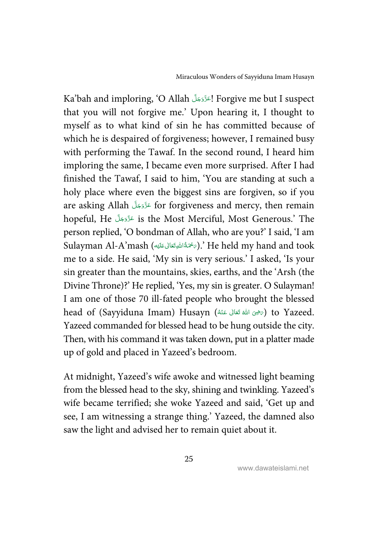Ka'bah and imploring, 'O Allah اعَزَّدَجَلَّ Forgive me but I suspect -that you will not forgive me.' Upon hearing it, I thought to myself as to what kind of sin he has committed because of which he is despaired of forgiveness; however, I remained busy with performing the Tawaf. In the second round, I heard him imploring the same, I became even more surprised. After I had finished the Tawaf, I said to him, 'You are standing at such a holy place where even the biggest sins are forgiven, so if you are asking Allah عَدَّدَجَلَ for forgiveness and mercy, then remain -hopeful, He - !-" -# is the Most Merciful, Most Generous.' The -person replied, 'O bondman of Allah, who are you?' I said, 'I am Sulayman Al-A'mash (جَحْمَةُاللهِقَتَانِ عَلَيْهَ $_{\triangledown}$ ).' He held my hand and took Í --ŕ me to a side. He said, 'My sin is very serious.' I asked, 'Is your sin greater than the mountains, skies, earths, and the 'Arsh (the Divine Throne)?' He replied, 'Yes, my sin is greater. O Sulayman! I am one of those 70 ill-fated people who brought the blessed head of (Sayyiduna Imam) Husayn (أَرَضِى اللهُ تَعَانَى عَنْهُ) to Yazeed. ć -í Yazeed commanded for blessed head to be hung outside the city. Then, with his command it was taken down, put in a platter made up of gold and placed in Yazeed's bedroom.

At midnight, Yazeed's wife awoke and witnessed light beaming from the blessed head to the sky, shining and twinkling. Yazeed's wife became terrified; she woke Yazeed and said, 'Get up and see, I am witnessing a strange thing.' Yazeed, the damned also saw the light and advised her to remain quiet about it.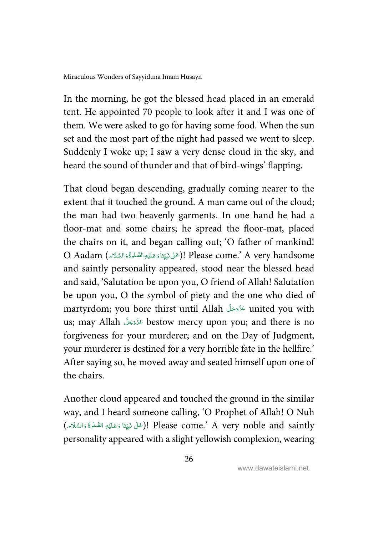In the morning, he got the blessed head placed in an emerald tent. He appointed 70 people to look after it and I was one of them. We were asked to go for having some food. When the sun set and the most part of the night had passed we went to sleep. Suddenly I woke up; I saw a very dense cloud in the sky, and heard the sound of thunder and that of bird-wings' flapping.

That cloud began descending, gradually coming nearer to the extent that it touched the ground. A man came out of the cloud; the man had two heavenly garments. In one hand he had a floor-mat and some chairs; he spread the floor-mat, placed the chairs on it, and began calling out; 'O father of mankind! O Aadam (عَلِّ نَبِيِّنَا وَعَلَيْهِ الصَّلْوَةُ وَالسَّلَامَ). Please come.' A very handsome --j í  $\mathsf{I}$ Í -Ś and saintly personality appeared, stood near the blessed head and said, 'Salutation be upon you, O friend of Allah! Salutation be upon you, O the symbol of piety and the one who died of martyrdom; you bore thirst until Allah عَزَّدَجَلَّ united you with -us; may Allah عَزَّدَجَلَّ bestow mercy upon you; and there is no -forgiveness for your murderer; and on the Day of Judgment, your murderer is destined for a very horrible fate in the hellfire.' After saying so, he moved away and seated himself upon one of the chairs.

Another cloud appeared and touched the ground in the similar way, and I heard someone calling, 'O Prophet of Allah! O Nuh جَالِ مَنْ يَوْتِنَا وَعَلَيْهِ الصَّلْوَةُ وَالسَّلَامِ). Please come.' A very noble and saintly --j í  $\overline{ }$ Í -É personality appeared with a slight yellowish complexion, wearing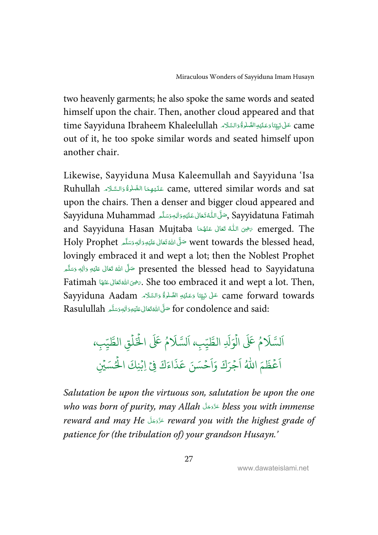two heavenly garments; he also spoke the same words and seated himself upon the chair. Then, another cloud appeared and that time Sayyiduna Ibraheem Khaleelullah عَلْى نَبِيِّنَا دَعَلَيْهِ الصَّلْوَةُ دَالسَّلَام . ž ---ĺ  $\overline{ }$ Í -Ĵ out of it, he too spoke similar words and seated himself upon another chair.

Likewise, Sayyiduna Musa Kaleemullah and Sayyiduna 'Isa Ruhullah عَلَيْهِمَا الصَّلْوَّ وَالسَّلَام ame, uttered similar words and sat -Í -& ĺ į --S upon the chairs. Then a denser and bigger cloud appeared and Sayyidatuna Fatimah كَأَوالله مَسَلَّم آله Sayyiduna Muhammad ŕ -j ĺ --and Sayyiduna Hasan Mujtaba تَجْمِىَ اللَّهُ تَعَالَى عَنْهُمَا  $\epsilon$  emerged. The ---ŕ í Holy Prophet حَلَّى اللَّهُ تَعَالَى عَلَيْهِ وَالِهٖ وَسَلَّم Holy Prophet مَثَل اللَّهُ تَعَالَى عَلَيْهِ -Í --ć --lovingly embraced it and wept a lot; then the Noblest Prophet تَ وَالِهِ وَسَلَّم وَاللهِ وَسَلَّمَ presented the blessed head to Sayyidatuna -Í --ć ---Fatimah جَرَى اللهَ تَعَالَى عَنْهَا Ashe too embraced it and wept a lot. Then, j -í  $\overline{a}$ --Sayyiduna Aadam عَلَى نَبِيِّنَا وَعَلَيْهِ الصَّلْوَّةُ وَالسَّلَام Sayyiduna Aadam --j í  $\mathsf{I}$ ĺ í -. for condolence and said صَلَّى اللَّهَ تَعَالى عَلَيْوِوَالِهٖوَسَلَّمِ Rasulullah ĺ --ć **:** --

#### و<br>م عَلَى ر<br>آ + لس َ السَّلامُ عَلَى الوَلْدِ ہ<br>آ ر<br>1 .<br>وَلَدِ الطَّيِّبِ، اَلسَّلَامُ عَلَى ر<br>آ اَلسَّلَا اَلسَّلَامُ عَلَى الْخَلْقِ الطَّيِّبِ ہ<br>آ ہ<br>آ ء<br>طيبٍ**»** .<br>م ع ر<br>آ اَعۡظَمَ اللّٰہُ اَجۡ ֘ ر<br>آ اَجْرَكَ وَاَحْ ֘ وَاَحْسَنَ عَذَاءَكَ فِي اِبْنِكَ الْحُسَيْنِ ا ہ<br>) ُ ہ<br>آ

Salutation be upon the virtuous son, salutation be upon the one who was born of purity, may Allah عَدَّدَجَلَ bless you with immense -reward and may He كَذَهَ reward you with the highest grade of -patience for (the tribulation of) your grandson Husayn.'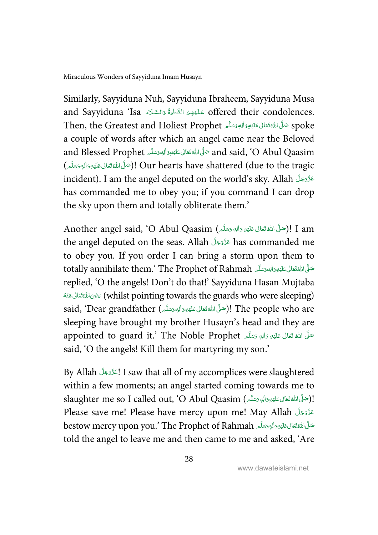Similarly, Sayyiduna Nuh, Sayyiduna Ibraheem, Sayyiduna Musa and Sayyiduna 'Isa عَلَيْهِمُ الصَّلْوَّةُ وَالسَّلَام and Sayyiduna 'Isa -Í í & ĺ i -ĺ Then, the Greatest and Holiest Prophet سَلَّ مَائِدِوَالِهٖوَسَلَّم Then, the Greatest and Holiest Prophet -Í --ć --a couple of words after which an angel came near the Beloved and Blessed Prophet حَنَّىَاللَّهُ تَعَالَى عَلَيْهِ وَاللهِ وَسَلَّمَ and Blessed Prophet مَتَّى اللَّهُ تَعَالِمُ -Í -----احلَّى اللَّهَ تَعَالَى عَلَيْهِ وَاللهِ وَسَلَّم )! Our hearts have shattered (due to the tragic -Í --ć --incident). I am the angel deputed on the world's sky. Allah القَدَّدَةَ السَّلَمَةَ السَّلَمَةُ عَنَّاءَ عَنَّ -has commanded me to obey you; if you command I can drop the sky upon them and totally obliterate them.'

Another angel said, 'O Abul Qaasim (حَبَّى اللَّهَ تَعَالَى عَلَيْهِ وَاللهٖ وَسَلَّم )؛ [ Another angel said, -Í --ĺ --the angel deputed on the seas. Allah عَزَّوَجَلّ has commanded me -to obey you. If you order I can bring a storm upon them to totally annihilate them.' The Prophet of Rahmah أَسَّلَّا اللَّهُ تَسَادُ (totally annihilate them.' The Prophet -Í --ć --replied, 'O the angels! Don't do that!' Sayyiduna Hasan Mujtaba -بر (whilst pointing towards the guards who were sleeping) كالله تكفيف الملعقة المصاغفة ć  $\overline{\phantom{0}}$ -ĺ said, 'Dear grandfather (حَلَّى اللَّهْ تَعَالَى عَلَيْهِ وَالْهِ وَسَلَّم )! The people who are -Í --ĺ --sleeping have brought my brother Husayn's head and they are appointed to guard it.' The Noble Prophet هَلَدٍ وَاللهِ وَسَلَّمَ الْمُسْتَقَالَ عَلَيْهِ وَاللهِ مَسَلَّمَ -Í --ć -said, 'O the angels! Kill them for martyring my son.'

By Allah المَرَّدَوَجَلَ I saw that all of my accomplices were slaughtered -within a few moments; an angel started coming towards me to slaughter me so I called out, 'O Abul Qaasim (الحَمَّى اللَّهَ تَعَالى عَلَيْهِ وَالْجِمْسَلَّمَ)! ĺ --ć ا<br>ا --Please save me! Please have mercy upon me! May Allah عَزَّدَجَلَ Please save me! Please have mercy -bestow mercy upon you.' The Prophet of Rahmah أَسَّلَاءَ لِلْهَ تَقَالُ عَلَيْهِ وَالْلِهِ وَسَلَّاءِ ĺ --ć --told the angel to leave me and then came to me and asked, 'Are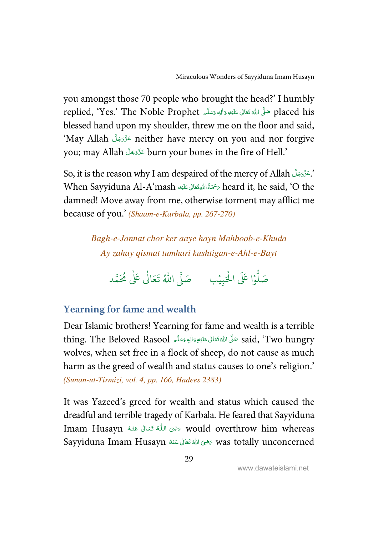<span id="page-35-0"></span>you amongst those 70 people who brought the head?' I humbly replied, 'Yes.' The Noble Prophet حَلَّى اللَّهُ تَعَانَى عَلَيْهِ وَاللهِ وَسَلَّمَ Placed his -Í --ć --blessed hand upon my shoulder, threw me on the floor and said, 'May Allah - !-" -# neither have mercy on you and nor forgive -you; may Allah عَزَّدَجَلَّ burn your bones in the fire of Hell.' --

So, it is the reason why I am despaired of the mercy of Allah (جَوَّوَجَلَّ So, it --When Sayyiduna Al-A'mash سَحْمَةُ اللهِ تَعَالى عَلَيْهِ heard it, he said, 'O the Í --ŕ damned! Move away from me, otherwise torment may afflict me because of you.' (Shaam-e-Karbala, pp. 267-270)

> Bagh-e-Jannat chor ker aaye hayn Mahboob-e-Khuda Ay zahay qismat tumhari kushtigan-e-Ahl-e-Bayt

.<br>وا عَلَى الْح ہ<br>ا و<br>آ صَلُّوْا عَلَى الْحَبِيْبِ ۚ صَلَّى اللَّهُ تَعَالَىٰ عَلَىٰ مُحَمَّد ֘ ٰ

# **Yearning for fame and wealth**

Dear Islamic brothers! Yearning for fame and wealth is a terrible thing. The Beloved Rasool حَلَّى اللَّهُ تَعَالَى عَلَيْهِ وَاللهِ وَسَلَّم thing. The Beloved Rasool حَلَّى اللَّهُ تَعَالَى عَلَيْهِ وَاللهِ وَسَلَّم -Í --ć --wolves, when set free in a flock of sheep, do not cause as much harm as the greed of wealth and status causes to one's religion.' (Sunan-ut-Tirmizi, vol. 4, pp. 166, Hadees 2383)

It was Yazeed's greed for wealth and status which caused the dreadful and terrible tragedy of Karbala. He feared that Sayyiduna Imam Husayn حَضِي اللَّهُ تَعَالَى عَنْهُ Mould overthrow him whereas -í -í Sayyiduna Imam Husayn حرضى الله تَعَالى عَنْهُ was totally unconcerned ć -ś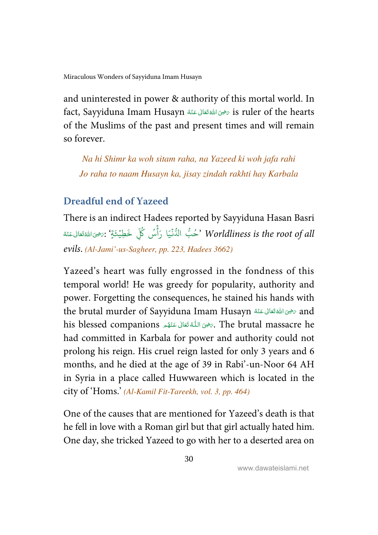<span id="page-36-0"></span>and uninterested in power & authority of this mortal world. In fact, Sayyiduna Imam Husayn تَحْيَى اللَّهُ تَعَالَى عَنْهُ  $\bar{z}$  is ruler of the hearts ć -ŕ of the Muslims of the past and present times and will remain so forever.

Na hi Shimr ka woh sitam raha, na Yazeed ki woh jafa rahi Jo raha to naam Husayn ka, jisay zindah rakhti hay Karbala

### **Dreadful end of Yazeed**

There is an indirect Hadees reported by Sayyiduna Hasan Basri -حُبُّ الدُّنۡيَا رَأۡسُ كُلِّ خَطِيۡعَةٍۢ بِهَضِيَاسَٰفَتَالٰٓعَنۡهُ ć ֘֒ -í ر<br>د . .<br>Worldliness is the root of all 'حُبُّ الدُّنْيَا رَأْسُ كُلِّ خَطِيْئَةٍ ۔<br>ءِ أ ់ َ֘ evils. (Al-Jami'-us-Sagheer, pp. 223, Hadees 3662)

Yazeed's heart was fully engrossed in the fondness of this temporal world! He was greedy for popularity, authority and power. Forgetting the consequences, he stained his hands with the brutal murder of Sayyiduna Imam Husayn الله تَعَالى عَنْهُ and ć -í his blessed companions حَيْنَ اللَّهُ تَعَانَى عَنْهُم a The brutal massacre he -í ĺ -ŕ had committed in Karbala for power and authority could not prolong his reign. His cruel reign lasted for only 3 years and 6 months, and he died at the age of 39 in Rabi'-un-Noor 64 AH in Syria in a place called Huwwareen which is located in the city of 'Homs.' (Al-Kamil Fit-Tareekh, vol. 3, pp. 464)

One of the causes that are mentioned for Yazeed's death is that he fell in love with a Roman girl but that girl actually hated him. One day, she tricked Yazeed to go with her to a deserted area on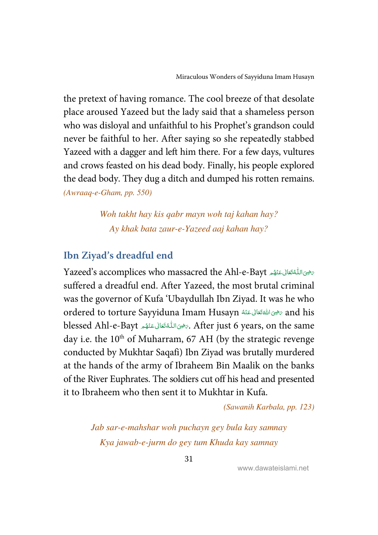<span id="page-37-0"></span>the pretext of having romance. The cool breeze of that desolate place aroused Yazeed but the lady said that a shameless person who was disloyal and unfaithful to his Prophet's grandson could never be faithful to her. After saying so she repeatedly stabbed Yazeed with a dagger and left him there. For a few days, vultures and crows feasted on his dead body. Finally, his people explored the dead body. They dug a ditch and dumped his rotten remains. (Awraaq-e-Gham, pp. 550)

> Woh takht hay kis qabr mayn woh taj kahan hay? Ay khak bata zaur-e-Yazeed aaj kahan hay?

# **Ibn Ziyad's dreadful end**

بَحْثَ اللَّهُ تَعَالَى عَنْهُم Yazeed's accomplices who massacred the Ahl-e-Bayt  $\overline{a}$ -í j -ĺ suffered a dreadful end. After Yazeed, the most brutal criminal was the governor of Kufa 'Ubaydullah Ibn Ziyad. It was he who ordered to torture Sayyiduna Imam Husayn تحيى اللفقتاني عَنْهُ and his ć  $\overline{a}$ -í blessed Ahl-e-Bayt حَرَى اللَّهُ تَعَانَى عَنْهُم blessed Ahl-e-Bayt، مَرْحَى اللَّهُ تَعَانَى عَنْهُم  $\overline{a}$ -í  $\ddot{ }$ -í day i.e. the  $10^{th}$  of Muharram, 67 AH (by the strategic revenge conducted by Mukhtar Saqafi) Ibn Ziyad was brutally murdered at the hands of the army of Ibraheem Bin Maalik on the banks of the River Euphrates. The soldiers cut off his head and presented it to Ibraheem who then sent it to Mukhtar in Kufa.

(Sawanih Karbala, pp. 123)

Jab sar-e-mahshar woh puchayn gey bula kay samnay Kya jawab-e-jurm do gey tum Khuda kay samnay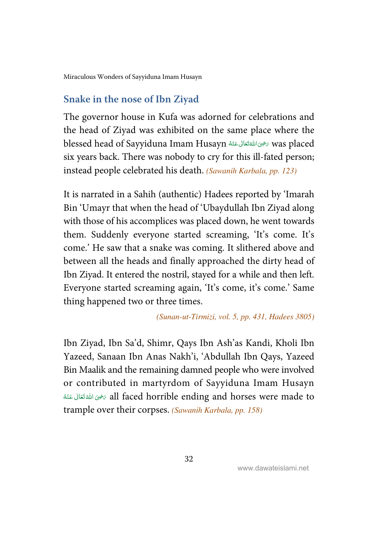<span id="page-38-0"></span>[Miraculous Wonders of Sayyiduna Imam Husayn](#page-48-0) 

#### **Snake in the nose of Ibn Ziyad**

The governor house in Kufa was adorned for celebrations and the head of Ziyad was exhibited on the same place where the blessed head of Sayyiduna Imam Husayn سَرْحَانَ عَنْهُ Blessed head of Sayyiduna Imam Husayn ć  $\overline{a}$ -í six years back. There was nobody to cry for this ill-fated person; instead people celebrated his death. (Sawanih Karbala, pp. 123)

It is narrated in a Sahih (authentic) Hadees reported by 'Imarah Bin 'Umayr that when the head of 'Ubaydullah Ibn Ziyad along with those of his accomplices was placed down, he went towards them. Suddenly everyone started screaming, 'It's come. It's come.' He saw that a snake was coming. It slithered above and between all the heads and finally approached the dirty head of Ibn Ziyad. It entered the nostril, stayed for a while and then left. Everyone started screaming again, 'It's come, it's come.' Same thing happened two or three times.

#### (Sunan-ut-Tirmizi, vol. 5, pp. 431, Hadees 3805)

Ibn Ziyad, Ibn Sa'd, Shimr, Qays Ibn Ash'as Kandi, Kholi Ibn Yazeed, Sanaan Ibn Anas Nakh'i, 'Abdullah Ibn Qays, Yazeed Bin Maalik and the remaining damned people who were involved or contributed in martyrdom of Sayyiduna Imam Husayn -هِ اللهُ تَعَالَى عَنْهُ $\sigma$  all faced horrible ending and horses were made to ć -ŕ trample over their corpses. (Sawanih Karbala, pp. 158)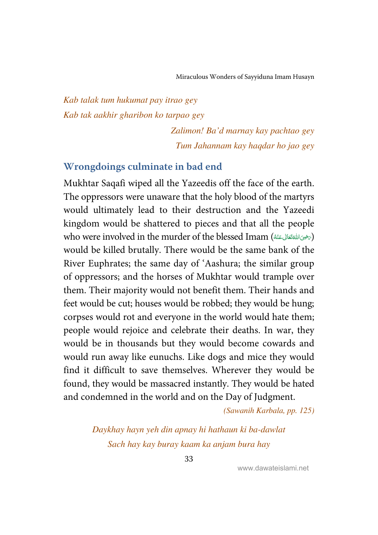### <span id="page-39-0"></span>Kab talak tum hukumat pay itrao gey Kab tak aakhir gharibon ko tarpao gey

Zalimon! Ba'd marnay kay pachtao gey Tum Jahannam kay haqdar ho jao gey

#### **Wrongdoings culminate in bad end**

Mukhtar Saqafi wiped all the Yazeedis off the face of the earth. The oppressors were unaware that the holy blood of the martyrs would ultimately lead to their destruction and the Yazeedi kingdom would be shattered to pieces and that all the people who were involved in the murder of the blessed Imam (التفتّعاني عَنْهُ) ć  $\overline{a}$ -ć would be killed brutally. There would be the same bank of the River Euphrates; the same day of 'Aashura; the similar group of oppressors; and the horses of Mukhtar would trample over them. Their majority would not benefit them. Their hands and feet would be cut; houses would be robbed; they would be hung; corpses would rot and everyone in the world would hate them; people would rejoice and celebrate their deaths. In war, they would be in thousands but they would become cowards and would run away like eunuchs. Like dogs and mice they would find it difficult to save themselves. Wherever they would be found, they would be massacred instantly. They would be hated and condemned in the world and on the Day of Judgment.

(Sawanih Karbala, pp. 125)

Daykhay hayn yeh din apnay hi hathaun ki ba-dawlat Sach hay kay buray kaam ka anjam bura hay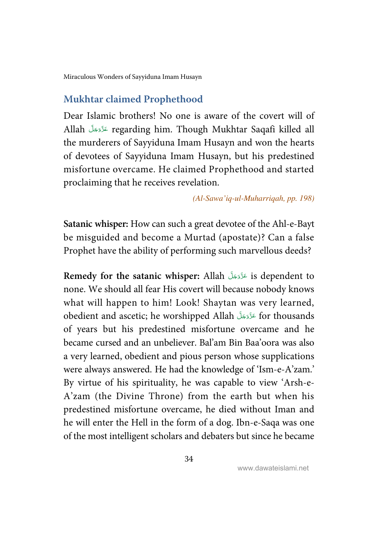<span id="page-40-0"></span>[Miraculous Wonders of Sayyiduna Imam Husayn](#page-48-0) 

### **Mukhtar claimed Prophethood**

Dear Islamic brothers! No one is aware of the covert will of Allah - !-" - # regarding him. Though Mukhtar Saqafi killed all -the murderers of Sayyiduna Imam Husayn and won the hearts of devotees of Sayyiduna Imam Husayn, but his predestined misfortune overcame. He claimed Prophethood and started proclaiming that he receives revelation.

(Al-Sawa'iq-ul-Muharriqah, pp. 198)

**Satanic whisper:** How can such a great devotee of the Ahl-e-Bayt be misguided and become a Murtad (apostate)? Can a false Prophet have the ability of performing such marvellous deeds?

**Remedy for the satanic whisper:** Allah - !-" -# is dependent to -none. We should all fear His covert will because nobody knows what will happen to him! Look! Shaytan was very learned, obedient and ascetic; he worshipped Allah عَنَّوَجَلَّ for thousands -of years but his predestined misfortune overcame and he became cursed and an unbeliever. Bal'am Bin Baa'oora was also a very learned, obedient and pious person whose supplications were always answered. He had the knowledge of 'Ism-e-A'zam.' By virtue of his spirituality, he was capable to view 'Arsh-e-A'zam (the Divine Throne) from the earth but when his predestined misfortune overcame, he died without Iman and he will enter the Hell in the form of a dog. Ibn-e-Saqa was one of the most intelligent scholars and debaters but since he became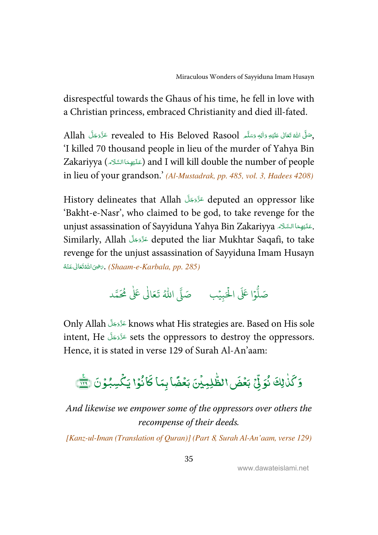disrespectful towards the Ghaus of his time, he fell in love with a Christian princess, embraced Christianity and died ill-fated.

Allah حَزَّدَ revealed to His Beloved Rasool حَزَّدَ بَلَّ مَا allah حَزَّدَ بِلَّ --ĺ --ć ---'I killed 70 thousand people in lieu of the murder of Yahya Bin Zakariyya (عَنَيْهِمَاالسَّلَاء) and I will kill double the number of people -ĺ ĺ in lieu of your grandson.' (Al-Mustadrak, pp. 485, vol. 3, Hadees 4208)

History delineates that Allah عَذَوَجَلَ deputed an oppressor like --'Bakht-e-Nasr', who claimed to be god, to take revenge for the unjust assassination of Sayyiduna Yahya Bin Zakariyya حَلَيْهِمَا السَّلَاء . -ĺ Í Similarly, Allah - !-" -# deputed the liar Mukhtar Saqafi, to take -revenge for the unjust assassination of Sayyiduna Imam Husayn -خوى الله تَعَالى عَنْهُ $\zeta$ . (Shaam-e-Karbala, pp. 285) ć  $\overline{a}$ -ŕ

#### .<br>وا عَلَى الْح ہ<br>ا و<br>آ صَلُّوْا عَلَى الْحَبِيْبِ ۚ صَلَّى اللَّهُ تَعَالَىٰ عَلَىٰ مُحَمَّد ֘ ٰ

Only Allah عَزَّدَ knows what His strategies are. Based on His sole -intent, He لَأَدَّجَلَ sets the oppressors to destroy the oppressors. --Hence, it is stated in verse 129 of Surah Al-An'aam:

#### ۇڭما ٰ ֠ كَلٰ<sub>ْ</sub> لِكَ نُوَلِّيْ ; ں<br>م لِّ بَعۡضَ١لظَّٰلِہِیۡنَ ؚ<br>ۣ ٰ j<br>.. لطَّلِمِيْنَ بَعۡضًا بِمَا كَا  $\overline{a}$ ֦ كَانُوْا يَكْسِبُوْنَ (٢ ֦֧֦֧֦ -֦֧֦֧֦ -֘

And likewise we empower some of the oppressors over others the recompense of their deeds.

[Kanz-ul-Iman (Translation of Quran)] (Part 8, Surah Al-An'aam, verse 129)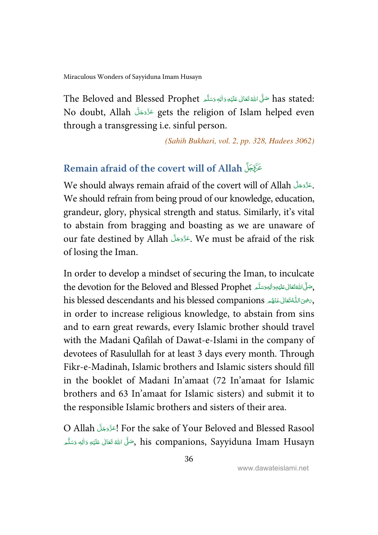<span id="page-42-0"></span>The Beloved and Blessed Prophet سَلَّى اللَّهَ تَعَانَى عَلَيْهِ وَاللهِ وَسَلَّمَ The Beloved and Blessed Prophet -Í --ć ---No doubt, Allah لَأَوَيَكَ gets the religion of Islam helped even -through a transgressing i.e. sinful person.

(Sahih Bukhari, vol. 2, pp. 328, Hadees 3062)

### **Remain afraid of the covert will of Allah**

We should always remain afraid of the covert will of Allah حَذَّدَجَلَّ . --We should refrain from being proud of our knowledge, education, grandeur, glory, physical strength and status. Similarly, it's vital to abstain from bragging and boasting as we are unaware of our fate destined by Allah جَزَّدَجَلَ We must be afraid of the risk -of losing the Iman.

In order to develop a mindset of securing the Iman, to inculcate the devotion for the Beloved and Blessed Prophet جَنَّى اللَّهَ تَعَالَى عَلَيْهِوَالِهِوَسَلَّهِ -Í --ć <u>:</u> -his blessed descendants and his blessed companions رَسِمِى اللَّهُ تَعَالى عَنْهُم ِ his blessed descendants and his blessed companions  $\overline{a}$ -ĺ í ĺ -in order to increase religious knowledge, to abstain from sins and to earn great rewards, every Islamic brother should travel with the Madani Qafilah of Dawat-e-Islami in the company of devotees of Rasulullah for at least 3 days every month. Through Fikr-e-Madinah, Islamic brothers and Islamic sisters should fill in the booklet of Madani In'amaat (72 In'amaat for Islamic brothers and 63 In'amaat for Islamic sisters) and submit it to the responsible Islamic brothers and sisters of their area.

O Allah الحَزَّوَجَلَّ For the sake of Your Beloved and Blessed Rasool --جَنَّى الله تَعَالى عَلَيْهِ وَالِهٖ وَسَلَّمَ , his companions, Sayyiduna Imam Husayn ĺ --ć ---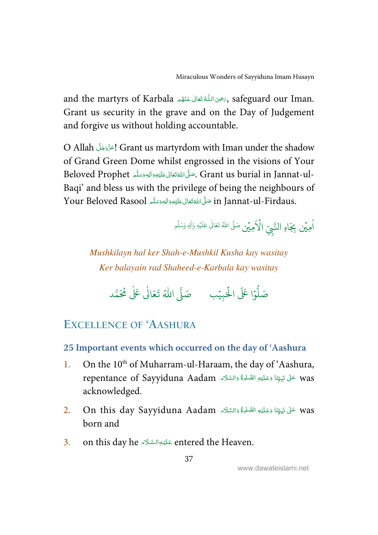<span id="page-43-0"></span>and the martyrs of Karbala حَضِى اللَّهُ تَعَالَى عَنْهُم afeguard our Iman. -í í -ŕ Grant us security in the grave and on the Day of Judgement and forgive us without holding accountable.

O Allah الحَذَّدَجَلَ Grant us martyrdom with Iman under the shadow -of Grand Green Dome whilst engrossed in the visions of Your Beloved Prophet حَلَّى اللَّهُ تَعَالى عَلَيْهِ وَاللهِ وَسَلَّم Beloved Prophet . ć -Í -----Baqi' and bless us with the privilege of being the neighbours of Your Beloved Rasool حَلَّىَاللَّهُ تَعَالَى عَلَيْهِ رَاللهِ وَسَلَّم Your Beloved Rasool -Í --ć ---

> اٰمِيۡن بِجَاهِ النَّبِيِّ  $\hat{\mathbf{a}}$ الْإِمِيْنِ صَلَّى اللهُ تَعَالٰى عَلَيْهِ وَأَلِهٖ وَسَلَّم <u>ّ</u> Ĭ. اً<br>ا

Mushkilayn hal ker Shah-e-Mushkil Kusha kay wasitay Ker balayain rad Shaheed-e-Karbala kay wasitay

.<br>وا عَلَى الْح ہ<br>ا و<br>آ صَلُّوْا عَلَى الْحَبِيْبِ ۚ صَلَّى اللَّهُ تَعَالَىٰ عَلَىٰ مُحَمَّد ֘ ٰ

# **EXCELLENCE OF 'AASHURA**

#### **25 Important events which occurred on the day of 'Aashura**

- 1. On the  $10<sup>th</sup>$  of Muharram-ul-Haraam, the day of 'Aashura, repentance of Sayyiduna Aadam عَلَى نَبِيِّنَا وَعَلَيْهِ الصَّلْوَّةُ وَالسَّلَام " ---j Í  $\mathbf{I}$ Ś acknowledged.
- $2. \quad$  On this day Sayyiduna Aadam عَلَى نَبِيِّنَا وَعَلَيْهِ الصَّلْوَةُ وَالسَّلَام . " ---j ĺ  $\mathsf{I}$ í born and
- 3. on this day he عَلَيْوَالسَّلَاءِ entered the Heaven. Ĵ Í --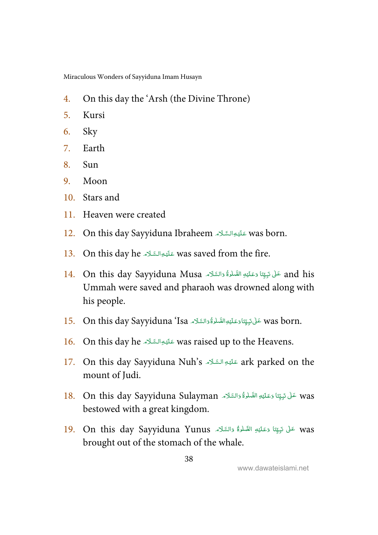[Miraculous Wonders of Sayyiduna Imam Husayn](#page-48-0) 

- 4. On this day the 'Arsh (the Divine Throne)
- 5. Kursi
- 6. Sky
- 7. Earth
- 8. Sun
- 9. Moon
- 10. Stars and
- 11. Heaven were created
- 12. On this day Sayyiduna Ibraheem عَلَيْوالسَّلَاء was born. Ś Í --
- 13. On this day he حَلَيْعِ السَّلَامَ was saved from the fire. Ĵ Í --
- 14. On this day Sayyiduna Musa حَلَّى نَوِيِّنَا وَعَلَيْهِ الصَّلُوَّةُ وَالسَّلَامَ A4. On this day Sayyiduna ---ž Í  $\mathbf{I}$ Ś -Ummah were saved and pharaoh was drowned along with his people.
- 15. On this day Sayyiduna 'Isa حَلْ نَبِيِّنَاوَعَلَيْهِالصَّلْوَّةُ وَالسَّلَاءِ. Son this day Sayyiduna أ ---j ĺ  $\overline{ }$ Í -
- 16. On this day he حَلَيْهِ السَّلَاءِ was raised up to the Heavens. Ĵ Í --
- 17. On this day Sayyiduna Nuh's عَلَيْهِ السَّلَاءِ ark parked on the Ĵ ĺ -mount of Judi.
- 18. On this day Sayyiduna Sulayman عَلَى نَبِيِّنَا وَعَلَيْهِ الصَّلْوَةُ وَالسَّلَامَ A. On this day Sayyiduna Sulayman ---j Í  $\overline{ }$ Ĵ bestowed with a great kingdom.
- 19. On this day Sayyiduna Yunus عَلَى نَبِيِّنَا وَعَلَيْهِ الصَّلُوَةُ وَالسَّلَاءَ . 9. This day Sayyiduna ---j Í  $\overline{ }$ Ĵ brought out of the stomach of the whale.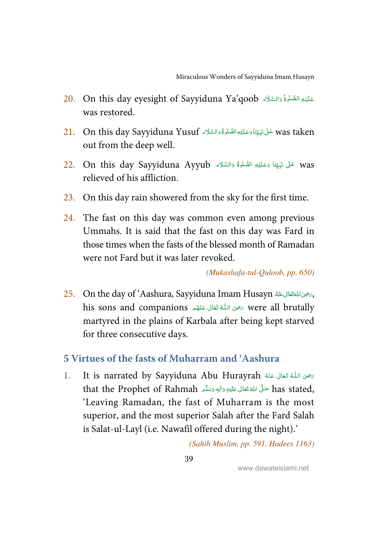- <span id="page-45-0"></span>20. On this day eyesight of Sayyiduna Ya'qoob عَلَيْهِ الصَّلُوَّةُ وَالسَّلَام 20. Í ļ í was restored.
- $21.$  On this day Sayyiduna Yusuf حَلْ نَبِيِّنَا دَعَلَيْهِ الصَّلْوَةُ دَالسَّلَام  $\,$  was taken ----Ĕ Í  $\overline{ }$ Ĵ out from the deep well.
- 22. On this day Sayyiduna Ayyub عَلَى نَبِيِّنَا وَعَلَيْهِ الصَّلْوَةُ وَالسَّلَاء Qn this day Sayyiduna Ayyub ---j Í  $\overline{ }$ Ĵ relieved of his affliction.
- 23. On this day rain showered from the sky for the first time.
- 24. The fast on this day was common even among previous Ummahs. It is said that the fast on this day was Fard in those times when the fasts of the blessed month of Ramadan were not Fard but it was later revoked.

(Mukashafa-tul-Quloob, pp. 650)

 $25.$  On the day of 'Aashura, Sayyiduna Imam Husayn هَدَاللَّهَ تَعَالَى عَنْهُ On the day of 'Aashura, Sayyiduna Imam Husayn -ć  $\overline{a}$ -his sons and companions كَافِي اللَّهُ تَعَالَى عَنْهُم his sons and companions تَافِيحَا اللَّهُ تَعَالَى عَنْهُ -í j -í martyred in the plains of Karbala after being kept starved for three consecutive days.

#### **5 Virtues of the fasts of Muharram and 'Aashura**

1. It is narrated by Sayyiduna Abu Hurayrah رَضِى اللَّهُ تَعَانَى عَنْهُ -í -ŕ that the Prophet of Rahmah حَلَّى اللهِ قَعَالِى عَلَيْهِ وَاللهِ وَسَلَّم as stated, ---Í --ć 'Leaving Ramadan, the fast of Muharram is the most superior, and the most superior Salah after the Fard Salah is Salat-ul-Layl (i.e. Nawafil offered during the night).'

(Sahih Muslim, pp. 591, Hadees 1163)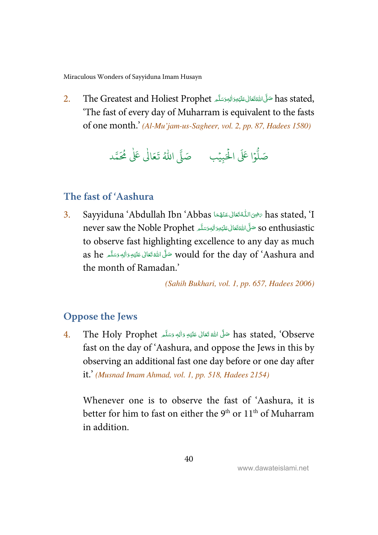<span id="page-46-0"></span>[Miraculous Wonders of Sayyiduna Imam Husayn](#page-48-0) 

 $2. \qquad$ The Greatest and Holiest Prophet حَلَّى اللَّهَ تَعَالى عَلَيْهِ وَالْبَحَسَلَّا  $\alpha$  stated, -Í --ć ---'The fast of every day of Muharram is equivalent to the fasts of one month.' (Al-Mu'jam-us-Sagheer, vol. 2, pp. 87, Hadees 1580)

َ ۡ ال ۡا I ََ و E ل ِ صَ ب ۡ بي ا ُ ل د صَ م َُ م َ I ٰ َا ع َ ت

#### **The fast of 'Aashura**

3. Sayyiduna 'Abdullah Ibn 'Abbas سَحْيَ اللَّهُ تَعَالَى عَنْهُمَا Absas stated, 'I ֘֒ ---í ĺ never saw the Noble Prophet حَلَّى اللَّهْ تَعَالَى عَلَيْهِ رَاللهِ وَسَلَّه عَلَيْهِ وَاللهِ وَسَلَّهُ مِنْ ć ---Í -to observe fast highlighting excellence to any day as much as he صَلَّى اللَّهُ تَعَالَى عَلَيْهِ وَالِهٖ وَسَلَّم as he --j --ć the month of Ramadan.'

(Sahih Bukhari, vol. 1, pp. 657, Hadees 2006)

#### **Oppose the Jews**

4. The Holy Prophet حَلَّى اللَّهُ تَعَالَى عَلَيْهِ وَالْهِ وَسَلَّمَ The Holy Prophet مَقَّلَ اللَّهُ --Í --ć fast on the day of 'Aashura, and oppose the Jews in this by observing an additional fast one day before or one day after it.' (Musnad Imam Ahmad, vol. 1, pp. 518, Hadees 2154)

Whenever one is to observe the fast of 'Aashura, it is better for him to fast on either the  $9<sup>th</sup>$  or  $11<sup>th</sup>$  of Muharram in addition.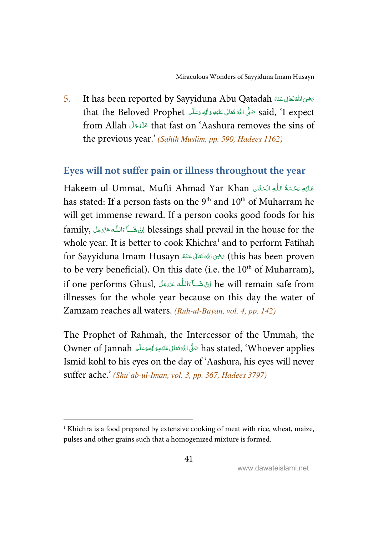<span id="page-47-0"></span>5. It has been reported by Sayyiduna Abu Qatadah سَرْحِىَ اللَّهَ تَعَالَى عَنْهُ ć  $\overline{a}$ -ć that the Beloved Prophet حَلَّى اللَّهُ تَعَانِى عَلَيْهِ وَاللهِ وَسَلَّمِ  $\,$  said, 'I expect ĺ --ć --from Allah عَزَّدَجَلَّ that fast on 'Aashura removes the sins of -the previous year.' (Sahih Muslim, pp. 590, Hadees 1162)

#### **Eyes will not suffer pain or illness throughout the year**

Hakeem-ul-Ummat, Mufti Ahmad Yar Khan اللهِ الْحَنَّان مَعْلَيْهِ يَحْمَةُ اللَّهِ الْكَتَان ś -Í -j  $\overline{\phantom{a}}$ --Í has stated: If a person fasts on the 9<sup>th</sup> and 10<sup>th</sup> of Muharram he will get immense reward. If a person cooks good foods for his family, اِنْ شَــآءَالله ءَدَّدَجَلَ blessings shall prevail in the house for the -Í  $\overline{\mathsf{I}}$ --whole year. It is better to cook Khichra<sup>1</sup> and to perform Fatihah for Sayyiduna Imam Husayn سَرُونَ اللَّهُ تَعَانَى عَنْهُ Sing Sayyiduna Imam Husayn بِحَيْنَ اللَّهُ تَعَانَ ć -í to be very beneficial). On this date (i.e. the  $10<sup>th</sup>$  of Muharram), if one performs Ghusl, اِنْ شَــآءَاللّٰه عَزَّدَجَلَ (if one performs Ghusl -Í  $\overline{\mathsf{I}}$ --illnesses for the whole year because on this day the water of Zamzam reaches all waters. (Ruh-ul-Bayan, vol. 4, pp. 142)

The Prophet of Rahmah, the Intercessor of the Ummah, the Owner of Jannah حَلَّىَ اللَّهُ تَعَالَى عَلَيْهِ وَاللهِ وَسَلَّمَ Owner of Jannah ---Í --ć Ismid kohl to his eyes on the day of 'Aashura, his eyes will never suffer ache.' (Shu'ab-ul-Iman, vol. 3, pp. 367, Hadees 3797)

l

<sup>&</sup>lt;sup>1</sup> Khichra is a food prepared by extensive cooking of meat with rice, wheat, maize, pulses and other grains such that a homogenized mixture is formed.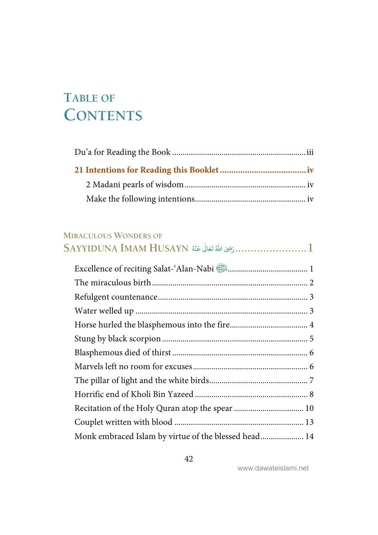# <span id="page-48-0"></span>**TABLE OF CONTENTS**

#### **MIRACULOUS WONDERS OF**

| $\operatorname{SAYYIDUNA}$ IMAM $\operatorname{HUSAYN}$ أَعْمَالُ عَنْهُ $\dots\dots\dots\dots\dots\dots1$ |  |
|------------------------------------------------------------------------------------------------------------|--|
| Excellence of reciting Salat-'Alan-Nabi <b>state</b> members and 1                                         |  |
|                                                                                                            |  |
|                                                                                                            |  |
|                                                                                                            |  |
|                                                                                                            |  |
|                                                                                                            |  |
|                                                                                                            |  |
|                                                                                                            |  |
|                                                                                                            |  |
|                                                                                                            |  |
|                                                                                                            |  |
|                                                                                                            |  |
| Monk embraced Islam by virtue of the blessed head 14                                                       |  |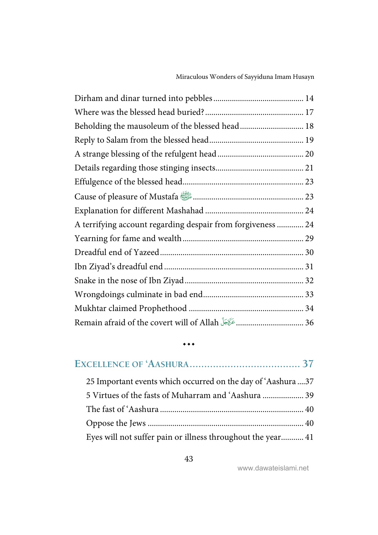| Beholding the mausoleum of the blessed head 18                                       |
|--------------------------------------------------------------------------------------|
|                                                                                      |
|                                                                                      |
|                                                                                      |
|                                                                                      |
|                                                                                      |
|                                                                                      |
| A terrifying account regarding despair from forgiveness  24                          |
|                                                                                      |
|                                                                                      |
|                                                                                      |
|                                                                                      |
|                                                                                      |
|                                                                                      |
| Remain afraid of the covert will of Allah وRemain afraid of the covert will of Allah |

| 25 Important events which occurred on the day of 'Aashura 37 |  |
|--------------------------------------------------------------|--|
|                                                              |  |
|                                                              |  |
|                                                              |  |
| Eyes will not suffer pain or illness throughout the year 41  |  |

 $\ddot{\bullet}$